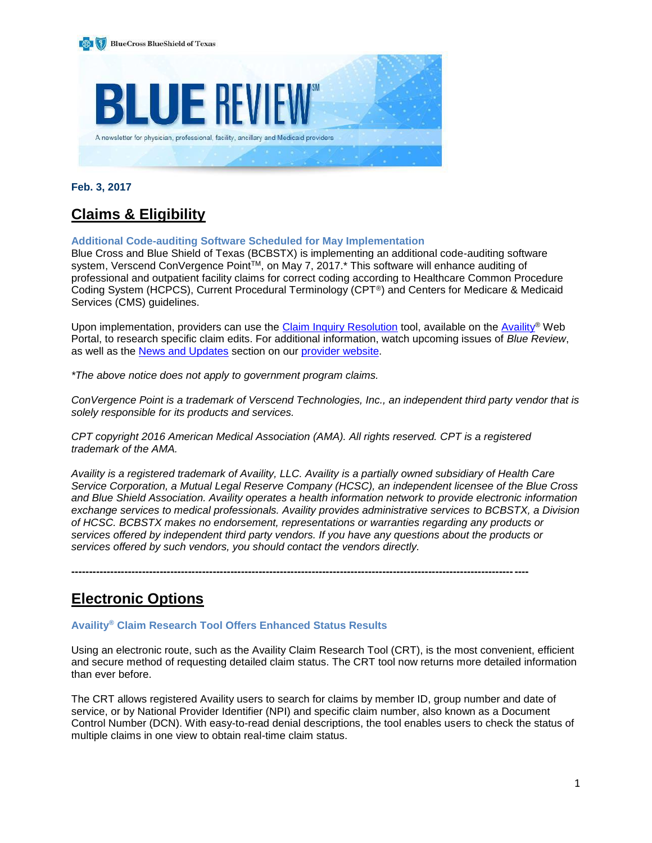

**Feb. 3, 2017**

# **Claims & Eligibility**

# **Additional Code-auditing Software Scheduled for May Implementation**

Blue Cross and Blue Shield of Texas (BCBSTX) is implementing an additional code-auditing software system, Verscend ConVergence Point™, on May 7, 2017.<sup>\*</sup> This software will enhance auditing of professional and outpatient facility claims for correct coding according to Healthcare Common Procedure Coding System (HCPCS), Current Procedural Terminology (CPT®) and Centers for Medicare & Medicaid Services (CMS) guidelines.

Upon implementation, providers can use the [Claim Inquiry Resolution](https://www.bcbstx.com/provider/claims/cir_tool.html) tool, available on the [Availity](https://www.availity.com/)® Web Portal, to research specific claim edits. For additional information, watch upcoming issues of *Blue Review*, as well as the [News and Updates](https://www.bcbstx.com/provider/news/index.html) section on our [provider website.](https://www.bcbstx.com/provider)

*\*The above notice does not apply to government program claims.*

*ConVergence Point is a trademark of Verscend Technologies, Inc., an independent third party vendor that is solely responsible for its products and services.*

*CPT copyright 2016 American Medical Association (AMA). All rights reserved. CPT is a registered trademark of the AMA.*

*Availity is a registered trademark of Availity, LLC. Availity is a partially owned subsidiary of Health Care Service Corporation, a Mutual Legal Reserve Company (HCSC), an independent licensee of the Blue Cross and Blue Shield Association. Availity operates a health information network to provide electronic information exchange services to medical professionals. Availity provides administrative services to BCBSTX, a Division of HCSC. BCBSTX makes no endorsement, representations or warranties regarding any products or services offered by independent third party vendors. If you have any questions about the products or services offered by such vendors, you should contact the vendors directly.*

**---------------------------------------------------------------------------------------------------------------------------------**

# **Electronic Options**

#### **Availity® Claim Research Tool Offers Enhanced Status Results**

Using an electronic route, such as the Availity Claim Research Tool (CRT), is the most convenient, efficient and secure method of requesting detailed claim status. The CRT tool now returns more detailed information than ever before.

The CRT allows registered Availity users to search for claims by member ID, group number and date of service, or by National Provider Identifier (NPI) and specific claim number, also known as a Document Control Number (DCN). With easy-to-read denial descriptions, the tool enables users to check the status of multiple claims in one view to obtain real-time claim status.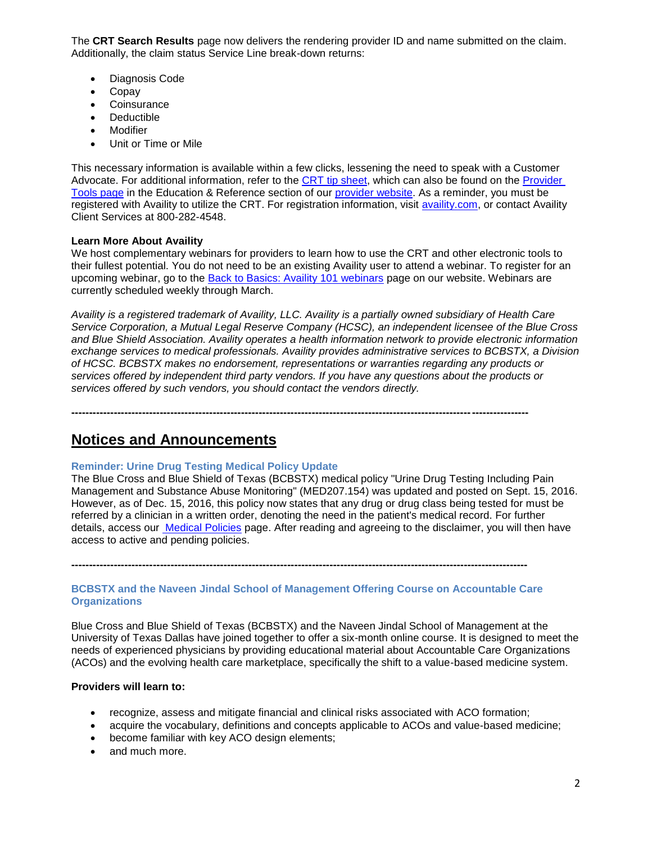The **CRT Search Results** page now delivers the rendering provider ID and name submitted on the claim. Additionally, the claim status Service Line break-down returns:

- Diagnosis Code
- Copay
- **Coinsurance**
- Deductible
- **Modifier**
- Unit or Time or Mile

This necessary information is available within a few clicks, lessening the need to speak with a Customer Advocate. For additional information, refer to the [CRT tip sheet,](https://www.bcbstx.com/provider/pdf/availity_crt_online_tip_sheet.pdf) which can also be found on the [Provider](https://www.bcbstx.com/provider/tools/index.html)  [Tools page](https://www.bcbstx.com/provider/tools/index.html) in the Education & Reference section of our [provider website.](https://www.bcbstx.com/provider) As a reminder, you must be registered with Availity to utilize the CRT. For registration information, visit [availity.com,](http://www.availity.com/) or contact Availity Client Services at 800-282-4548.

### **Learn More About Availity**

We host complementary webinars for providers to learn how to use the CRT and other electronic tools to their fullest potential. You do not need to be an existing Availity user to attend a webinar. To register for an upcoming webinar, go to the [Back to Basics: Availity 101 webinars](https://www.bcbstx.com/provider/training/availity.html) page on our website. Webinars are currently scheduled weekly through March.

*Availity is a registered trademark of Availity, LLC. Availity is a partially owned subsidiary of Health Care Service Corporation, a Mutual Legal Reserve Company (HCSC), an independent licensee of the Blue Cross and Blue Shield Association. Availity operates a health information network to provide electronic information exchange services to medical professionals. Availity provides administrative services to BCBSTX, a Division of HCSC. BCBSTX makes no endorsement, representations or warranties regarding any products or services offered by independent third party vendors. If you have any questions about the products or services offered by such vendors, you should contact the vendors directly.*

**---------------------------------------------------------------------------------------------------------------------------------**

# **Notices and Announcements**

# **Reminder: Urine Drug Testing Medical Policy Update**

The Blue Cross and Blue Shield of Texas (BCBSTX) medical policy "Urine Drug Testing Including Pain Management and Substance Abuse Monitoring" (MED207.154) was updated and posted on Sept. 15, 2016. However, as of Dec. 15, 2016, this policy now states that any drug or drug class being tested for must be referred by a clinician in a written order, denoting the need in the patient's medical record. For further details, access our [Medical Policies](http://www.medicalpolicy.hcsc.net/medicalpolicy/disclaimer?corpEntCd=TX1) page. After reading and agreeing to the disclaimer, you will then have access to active and pending policies.

**---------------------------------------------------------------------------------------------------------------------------------**

# **BCBSTX and the Naveen Jindal School of Management Offering Course on Accountable Care Organizations**

Blue Cross and Blue Shield of Texas (BCBSTX) and the Naveen Jindal School of Management at the University of Texas Dallas have joined together to offer a six-month online course. It is designed to meet the needs of experienced physicians by providing educational material about Accountable Care Organizations (ACOs) and the evolving health care marketplace, specifically the shift to a value-based medicine system.

# **Providers will learn to:**

- recognize, assess and mitigate financial and clinical risks associated with ACO formation;
- acquire the vocabulary, definitions and concepts applicable to ACOs and value-based medicine;
- become familiar with key ACO design elements;
- and much more.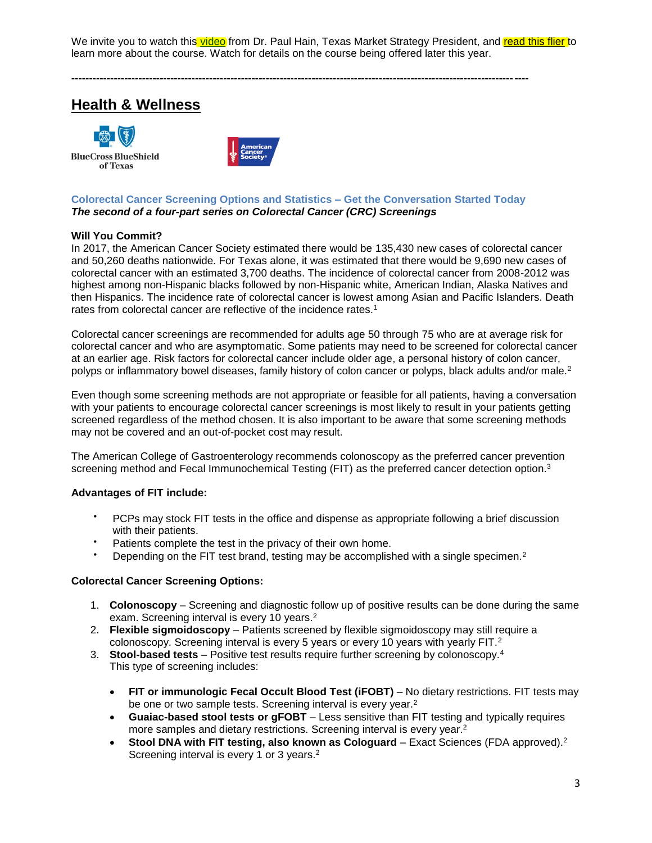We invite you to watch this [video](http://links.mkt2527.com/ctt?kn=6&ms=MTAxOTcxOTgS1&r=MTc4MzI0MDcwNjAxS0&b=0&j=MTA4MDczOTAyMAS2&mt=1&rt=0) from Dr. Paul Hain, Texas Market Strategy President, and [read this flier](http://links.mkt2527.com/ctt?kn=4&ms=MTAxOTcxOTgS1&r=MTc4MzI0MDcwNjAxS0&b=0&j=MTA4MDczOTAyMAS2&mt=1&rt=0) to learn more about the course. Watch for details on the course being offered later this year.

# **Health & Wellness**





### **Colorectal Cancer Screening Options and Statistics – Get the Conversation Started Today** *The second of a four-part series on Colorectal Cancer (CRC) Screenings*

**---------------------------------------------------------------------------------------------------------------------------------**

# **Will You Commit?**

In 2017, the American Cancer Society estimated there would be 135,430 new cases of colorectal cancer and 50,260 deaths nationwide. For Texas alone, it was estimated that there would be 9,690 new cases of colorectal cancer with an estimated 3,700 deaths. The incidence of colorectal cancer from 2008-2012 was highest among non-Hispanic blacks followed by non-Hispanic white, American Indian, Alaska Natives and then Hispanics. The incidence rate of colorectal cancer is lowest among Asian and Pacific Islanders. Death rates from colorectal cancer are reflective of the incidence rates.<sup>1</sup>

Colorectal cancer screenings are recommended for adults age 50 through 75 who are at average risk for colorectal cancer and who are asymptomatic. Some patients may need to be screened for colorectal cancer at an earlier age. Risk factors for colorectal cancer include older age, a personal history of colon cancer, polyps or inflammatory bowel diseases, family history of colon cancer or polyps, black adults and/or male.<sup>2</sup>

Even though some screening methods are not appropriate or feasible for all patients, having a conversation with your patients to encourage colorectal cancer screenings is most likely to result in your patients getting screened regardless of the method chosen. It is also important to be aware that some screening methods may not be covered and an out-of-pocket cost may result.

The American College of Gastroenterology recommends colonoscopy as the preferred cancer prevention screening method and Fecal Immunochemical Testing (FIT) as the preferred cancer detection option.<sup>3</sup>

# **Advantages of FIT include:**

- PCPs may stock FIT tests in the office and dispense as appropriate following a brief discussion with their patients.
- Patients complete the test in the privacy of their own home.
- Depending on the FIT test brand, testing may be accomplished with a single specimen.<sup>2</sup>

# **Colorectal Cancer Screening Options:**

- 1. **Colonoscopy** Screening and diagnostic follow up of positive results can be done during the same exam. Screening interval is every 10 years.<sup>2</sup>
- 2. **Flexible sigmoidoscopy** Patients screened by flexible sigmoidoscopy may still require a colonoscopy. Screening interval is every 5 years or every 10 years with yearly FIT.<sup>2</sup>
- 3. **Stool-based tests** Positive test results require further screening by colonoscopy.<sup>4</sup> This type of screening includes:
	- **FIT or immunologic Fecal Occult Blood Test (iFOBT)** No dietary restrictions. FIT tests may be one or two sample tests. Screening interval is every year.<sup>2</sup>
	- **Guaiac-based stool tests or gFOBT** Less sensitive than FIT testing and typically requires more samples and dietary restrictions. Screening interval is every year.<sup>2</sup>
	- **Stool DNA with FIT testing, also known as Cologuard** Exact Sciences (FDA approved).<sup>2</sup> Screening interval is every 1 or 3 years.<sup>2</sup>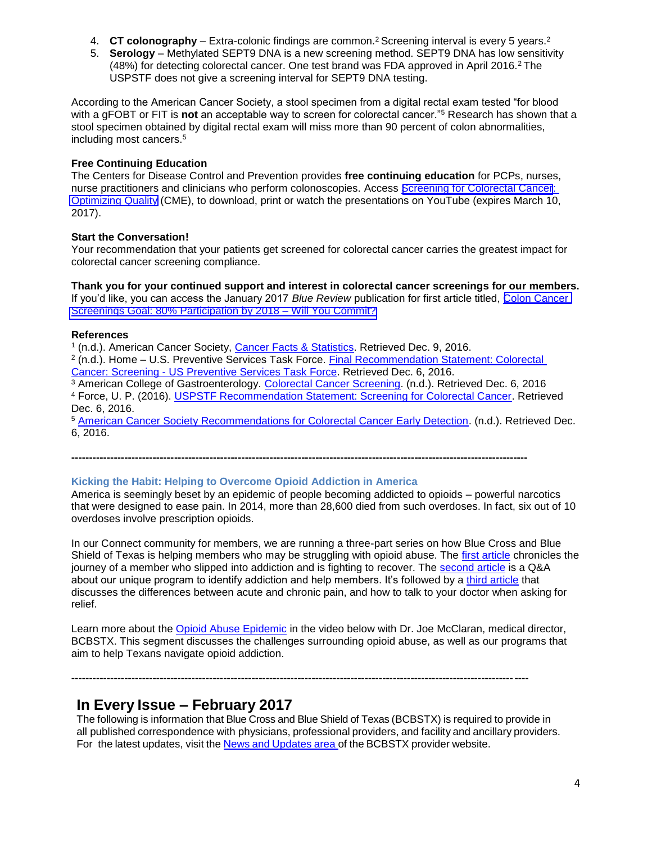- 4. **CT colonography** Extra-colonic findings are common.<sup>2</sup> Screening interval is every 5 years.<sup>2</sup>
- 5. **Serology** Methylated SEPT9 DNA is a new screening method. SEPT9 DNA has low sensitivity (48%) for detecting colorectal cancer. One test brand was FDA approved in April 2016.<sup>2</sup> The USPSTF does not give a screening interval for SEPT9 DNA testing.

According to the American Cancer Society, a stool specimen from a digital rectal exam tested "for blood with a gFOBT or FIT is **not** an acceptable way to screen for colorectal cancer.<sup>"5</sup> Research has shown that a stool specimen obtained by digital rectal exam will miss more than 90 percent of colon abnormalities, including most cancers.<sup>5</sup>

### **Free Continuing Education**

The Centers for Disease Control and Prevention provides **free continuing education** for PCPs, nurses, nurse practitioners and clinicians who perform colonoscopies. Access Screening for [Colorectal](https://www.cdc.gov/cancer/colorectal/quality/) Cancer: [Optimizing](https://www.cdc.gov/cancer/colorectal/quality/) Quality (CME), to download, print or watch the presentations on YouTube (expires March 10, 2017).

### **Start the Conversation!**

Your recommendation that your patients get screened for colorectal cancer carries the greatest impact for colorectal cancer screening compliance.

**Thank you for your continued support and interest in colorectal cancer screenings for our members.** If you'd like, you can access the January 2017 *Blue Review* publication for first article titled, [Colon Cancer](https://www.bcbstx.com/provider/news/bluereview.html)  [Screenings Goal: 80% Participation by 2018 –](https://www.bcbstx.com/provider/news/bluereview.html) Will You Commit?

### **References**

<sup>1</sup> (n.d.). American Cancer Society, [Cancer Facts & Statistics.](https://cancerstatisticscenter.cancer.org/?_ga=1.125123022.513543606.1478638201%20-%20/cancer-site/%23/state/Texas%20-%20/cancer-site/Colorectum#/) Retrieved Dec. 9, 2016.

<sup>2</sup> (n.d.). Home – U.S. Preventive Services Task Force. Final Recommendation Statement: Colorectal Cancer: Screening - [US Preventive Services Task Force.](https://www.uspreventiveservicestaskforce.org/Page/Document/RecommendationStatementFinal/colorectal-cancer-screening2#tab) Retrieved Dec. 6, 2016.

<sup>3</sup> American College of Gastroenterology. [Colorectal Cancer Screening.](http://gi.org/guideline/colorectal-cancer-screening/) (n.d.). Retrieved Dec. 6, 2016 <sup>4</sup> Force, U. P. (2016). [USPSTF Recommendation Statement: Screening for Colorectal Cancer.](http://jamanetwork.com/journals/jama/fullarticle/2529486) Retrieved Dec. 6, 2016.

<sup>5</sup> [American Cancer Society Recommendations for Colorectal Cancer Early Detection.](http://www.cancer.org/cancer/colonandrectumcancer/moreinformation/colonandrectumcancerearlydetection/colorectal-cancer-early-detection-acs-recommendations) (n.d.). Retrieved Dec. 6, 2016.

**---------------------------------------------------------------------------------------------------------------------------------**

#### **Kicking the Habit: Helping to Overcome Opioid Addiction in America**

America is seemingly beset by an epidemic of people becoming addicted to opioids – powerful narcotics that were designed to ease pain. In 2014, more than 28,600 died from such overdoses. In fact, six out of 10 overdoses involve prescription opioids.

In our Connect community for members, we are running a three-part series on how Blue Cross and Blue Shield of Texas is helping members who may be struggling with opioid abuse. The [first article](https://connect.bcbstx.com/making-it-work/b/weblog/posts/overcome-opioid-addiction-america) chronicles the journey of a member who slipped into addiction and is fighting to recover. The [second article](https://connect.bcbstx.com/making-it-work/b/weblog/posts/spot-stop-abuse-opiate-pain-relievers) is a Q&A about our unique program to identify addiction and help members. It's followed by a [third article](https://connect.bcbstx.com/making-it-work/b/weblog/posts/understanding-pain-what-to-do) that discusses the differences between acute and chronic pain, and how to talk to your doctor when asking for relief.

Learn more about the [Opioid Abuse Epidemic](https://youtu.be/RO2E33z2Q1A) in the video below with Dr. Joe McClaran, medical director, BCBSTX. This segment discusses the challenges surrounding opioid abuse, as well as our programs that aim to help Texans navigate opioid addiction.

**---------------------------------------------------------------------------------------------------------------------------------**

# **In Every Issue – February 2017**

The following is information that Blue Cross and Blue Shield of Texas (BCBSTX) is required to provide in all published correspondence with physicians, professional providers, and facility and ancillary providers. For the latest updates, visit the News and [Updates](http://www.bcbstx.com/provider/news/index.html) area of the BCBSTX provider website.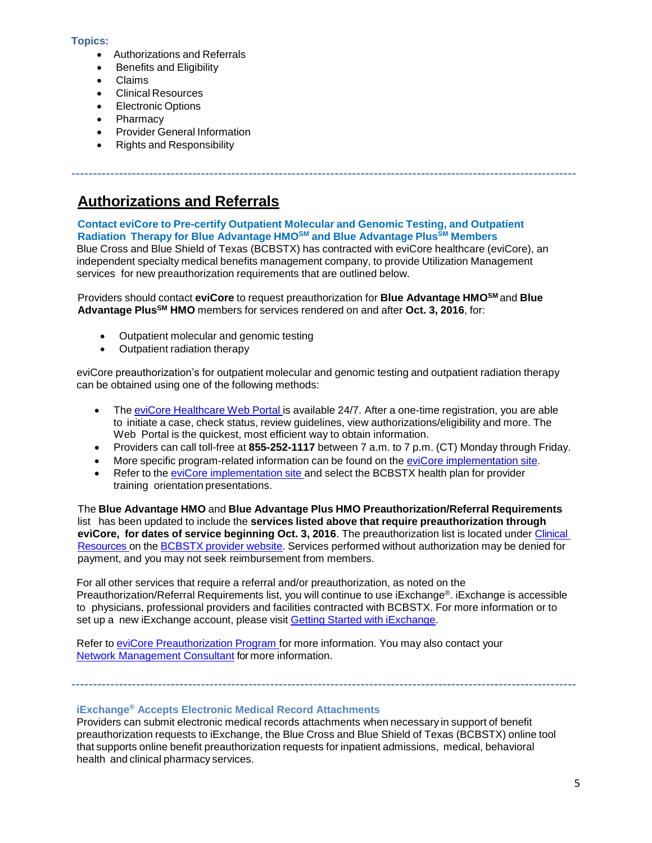#### **Topics:**

- Authorizations and Referrals
- Benefits and Eligibility
- Claims
- Clinical Resources
- Electronic Options
- Pharmacy
- Provider General Information
- Rights and Responsibility

# **Authorizations and Referrals**

# **Contact eviCore to Pre-certify Outpatient Molecular and Genomic Testing, and Outpatient Radiation Therapy for Blue Advantage HMOSM and Blue Advantage PlusSM Members**

Blue Cross and Blue Shield of Texas (BCBSTX) has contracted with eviCore healthcare (eviCore), an independent specialty medical benefits management company, to provide Utilization Management services for new preauthorization requirements that are outlined below.

---------------------------------------------------------------------------------------------------------------------

Providers should contact **eviCore** to request preauthorization for **Blue Advantage HMOSM** and **Blue Advantage PlusSM HMO** members for services rendered on and after **Oct. 3, 2016**, for:

- Outpatient molecular and genomic testing
- Outpatient radiation therapy

eviCore preauthorization's for outpatient molecular and genomic testing and outpatient radiation therapy can be obtained using one of the following methods:

- The eviCore [Healthcare](http://www.evicore.com/) Web Portal is available 24/7. After a one-time registration, you are able to initiate a case, check status, review guidelines, view authorizations/eligibility and more. The Web Portal is the quickest, most efficient way to obtain information.
- Providers can call toll-free at **855-252-1117** between 7 a.m. to 7 p.m. (CT) Monday through Friday.
- More specific program-related information can be found on the eviCore [implementation](https://www.carecorenational.com/page/bcbs-implementations.aspx) site.
- Refer to the eviCore [implementation](https://www.carecorenational.com/page/bcbs-implementations.aspx) site and select the BCBSTX health plan for provider training orientation presentations.

The **Blue Advantage HMO** and **Blue Advantage Plus HMO Preauthorization/Referral Requirements** list has been updated to include the **services listed above that require preauthorization through eviCore, for dates of service beginning Oct. 3, 2016**. The preauthorization list is located under [Clinical](https://www.bcbstx.com/provider/clinical/index.html)  [Resources](https://www.bcbstx.com/provider/clinical/index.html) on the [BCBSTX](http://www.bcbstx.com/provider/) provider website. Services performed without authorization may be denied for payment, and you may not seek reimbursement from members.

For all other services that require a referral and/or preauthorization, as noted on the Preauthorization/Referral Requirements list, you will continue to use iExchange®. iExchange is accessible to physicians, professional providers and facilities contracted with BCBSTX. For more information or to set up a new iExchange account, please visit Getting Started with [iExchange.](http://www.bcbstx.com/provider/tools/iexchange.html)

Refer to eviCore [Preauthorization](http://www.bcbstx.com/provider/clinical/evicore.html) Program for more information. You may also contact your [Network Management Consultant](http://www.bcbstx.com/provider/contact_us.html) for more information.

# **iExchange® Accepts Electronic Medical Record Attachments**

---------------------------------------------------------------------------------------------------------------------

Providers can submit electronic medical records attachments when necessary in support of benefit preauthorization requests to iExchange, the Blue Cross and Blue Shield of Texas (BCBSTX) online tool that supports online benefit preauthorization requests for inpatient admissions, medical, behavioral health and clinical pharmacy services.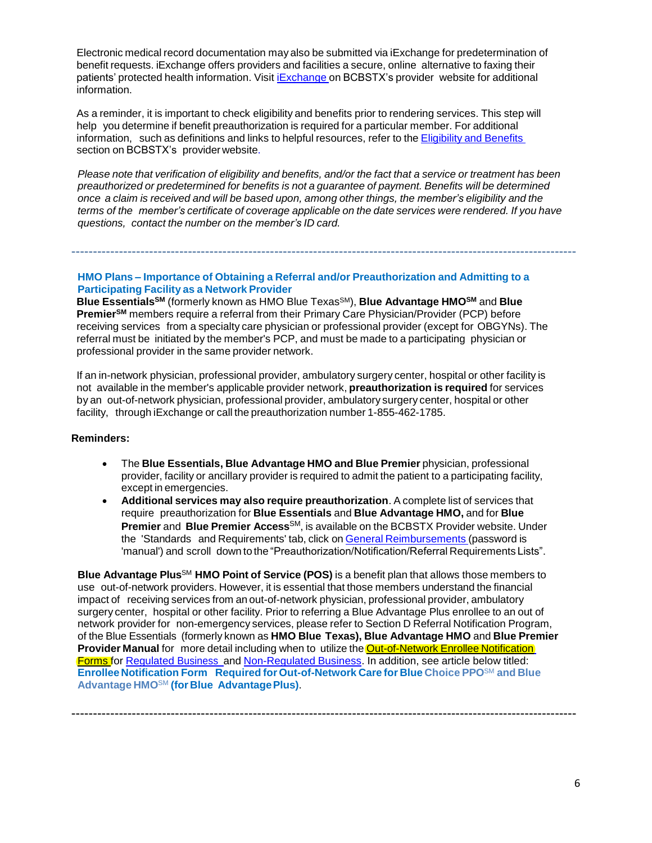Electronic medical record documentation may also be submitted via iExchange for predetermination of benefit requests. iExchange offers providers and facilities a secure, online alternative to faxing their patients' protected health information. Visit *[iExchange](http://www.bcbstx.com/provider/tools/iexchange_index.html)* on BCBSTX's provider website for additional information.

As a reminder, it is important to check eligibility and benefits prior to rendering services. This step will help you determine if benefit preauthorization is required for a particular member. For additional information, such as definitions and links to helpful resources, refer to the [Eligibility](http://www.bcbstx.com/provider/claims/eligibility_and_benefits.html) and Benefits section [on](http://www.bcbstx.com/provider) BCBSTX's providerwebsite.

Please note that verification of eligibility and benefits, and/or the fact that a service or treatment has been *preauthorized or predetermined for benefits is not a guarantee of payment. Benefits will be determined* once a claim is received and will be based upon, among other things, the member's eligibility and the *terms of the member's certificate of coverage applicable on the date services were rendered. If you have questions, contact the number on the member's ID card.*

---------------------------------------------------------------------------------------------------------------------

**HMO Plans – Importance of Obtaining a Referral and/or Preauthorization and Admitting to a Participating Facility as a Network Provider**

**Blue EssentialsSM** (formerly known as HMO Blue TexasSM), **Blue Advantage HMOSM** and **Blue PremierSM** members require a referral from their Primary Care Physician/Provider (PCP) before receiving services from a specialty care physician or professional provider (except for OBGYNs). The referral must be initiated by the member's PCP, and must be made to a participating physician or professional provider in the same provider network.

If an in-network physician, professional provider, ambulatory surgery center, hospital or other facility is not available in the member's applicable provider network, **preauthorization is required** for services by an out-of-network physician, professional provider, ambulatory surgery center, hospital or other facility, through iExchange or call the preauthorization number 1-855-462-1785.

#### **Reminders:**

- The **Blue Essentials, Blue Advantage HMO and Blue Premier** physician, professional provider, facility or ancillary provider is required to admit the patient to a participating facility, except in emergencies.
- **Additional services may also require preauthorization**. A complete list of services that require preauthorization for **Blue Essentials** and **Blue Advantage HMO,** and for **Blue Premier** and **Blue Premier Access**SM, is available on the BCBSTX Provider website. Under the 'Standards and Requirements' tab, click on General [Reimbursements](http://www.pages02.net/hcscnosuppression/nlt_br_providers_june_2016_b_ok_060116_in_every_issue/LPT.url?kn=900466&amp%3Bvs=YTVjNjZjMzUtOGRhNi00MDUwLWI1MDAtYTg0NTI3M2JkZmUxOzA6ODk5OTgwMToyMjY0ODg5MjYwNzo5NDAwOTQyMjQ6OTQwMDk0MjI0OwS2) (password is 'manual') and scroll down to the "Preauthorization/Notification/Referral Requirements Lists".

**Blue Advantage Plus**SM **HMO Point of Service (POS)** is a benefit plan that allows those members to use out-of-network providers. However, it is essential that those members understand the financial impact of receiving services from an out-of-network physician, professional provider, ambulatory surgery center, hospital or other facility. Prior to referring a Blue Advantage Plus enrollee to an out of network provider for non-emergency services, please refer to Section D Referral Notification Program, of the Blue Essentials (formerly known as **HMO Blue Texas), Blue Advantage HMO** and **Blue Premier Provider Manual** for more detail including when to utilize the Out-of-Network Enrollee Notification Forms for [Regulated](http://www.bcbstx.com/provider/pdf/out-of-network-care-enrollee-notification-form.pdf) [Business](http://www.bcbstx.com/provider/pdf/out-of-network-care-enrollee-notification-form.pdf) and [Non-Regulated](http://www.bcbstx.com/provider/pdf/out-of-network-care-enrollee-notification-form-nr.pdf) Business. In addition, see article below titled: **Enrollee Notification Form Required for Out-of-Network Care for Blue Choice PPO**SM **and Blue Advantage HMO**SM **(for Blue AdvantagePlus)**.

---------------------------------------------------------------------------------------------------------------------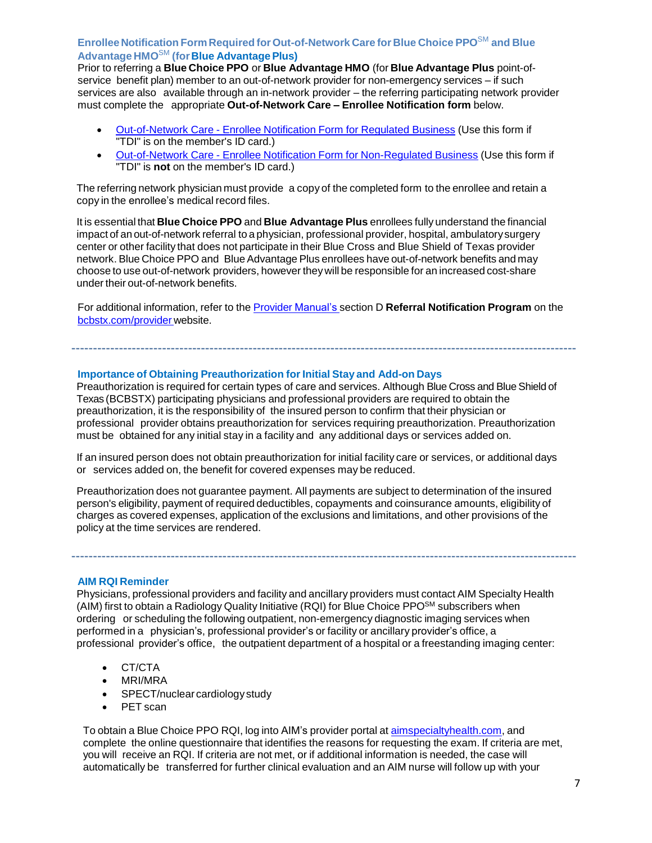# **Enrollee Notification Form Required forOut-of-Network Care for Blue Choice PPO**SM **and Blue Advantage HMO**SM **(forBlue AdvantagePlus)**

Prior to referring a **Blue Choice PPO** or **Blue Advantage HMO** (for **Blue Advantage Plus** point-ofservice benefit plan) member to an out-of-network provider for non-emergency services – if such services are also available through an in-network provider – the referring participating network provider must complete the appropriate **Out-of-Network Care – Enrollee Notification form** below.

- [Out-of-Network](http://www.bcbstx.com/provider/pdf/out-of-network-care-enrollee-notification-form.pdf) Care Enrollee Notification Form for Regulated Business (Use this form if "TDI" is on the member's ID card.)
- [Out-of-Network](http://www.bcbstx.com/provider/pdf/out-of-network-care-enrollee-notification-form-nr.pdf) Care Enrollee Notification Form for Non-Regulated Business (Use this form if "TDI" is **not** on the member's ID card.)

The referring network physician must provide a copy of the completed form to the enrollee and retain a copy in the enrollee's medical record files.

It is essential that **Blue Choice PPO** and **Blue Advantage Plus** enrollees fully understand the financial impact of an out-of-network referral to a physician, professional provider, hospital, ambulatorysurgery center or other facility that does not participate in their Blue Cross and Blue Shield of Texas provider network. Blue Choice PPO and BlueAdvantage Plus enrollees have out-of-network benefits and may choose to use out-of-network providers, however theywill be responsible for an increased cost-share under their out-of-network benefits.

For additional information, refer to the Provider [Manual's](http://www.bcbstx.com/provider/gri/index.html) section D **Referral Notification Program** on th[e](http://www.bcbstx.com/provider/index.html) [bcbstx.com/provider](http://www.bcbstx.com/provider/index.html) website.

---------------------------------------------------------------------------------------------------------------------

#### **Importance of Obtaining Preauthorization for Initial Stay and Add-on Days**

Preauthorization is required for certain types of care and services. Although Blue Cross and Blue Shield of Texas (BCBSTX) participating physicians and professional providers are required to obtain the preauthorization, it is the responsibility of the insured person to confirm that their physician or professional provider obtains preauthorization for services requiring preauthorization. Preauthorization must be obtained for any initial stay in a facility and any additional days or services added on.

If an insured person does not obtain preauthorization for initial facility care or services, or additional days or services added on, the benefit for covered expenses may be reduced.

Preauthorization does not guarantee payment. All payments are subject to determination of the insured person's eligibility, payment of required deductibles, copayments and coinsurance amounts, eligibility of charges as covered expenses, application of the exclusions and limitations, and other provisions of the policy at the time services are rendered.

---------------------------------------------------------------------------------------------------------------------

#### **AIM RQI Reminder**

Physicians, professional providers and facility and ancillary providers must contact AIM Specialty Health (AIM) first to obtain a Radiology Quality Initiative (RQI) for Blue Choice PPOSM subscribers when ordering or scheduling the following outpatient, non-emergency diagnostic imaging services when performed in a physician's, professional provider's or facility or ancillary provider's office, a professional provider's office, the outpatient department of a hospital or a freestanding imaging center:

- CT/CTA
- MRI/MRA
- SPECT/nuclear cardiology study
- PET scan

To obtain a Blue Choice PPO RQI, log into AIM's provider portal at aimspecialtyhealth.com, and complete the online questionnaire that identifies the reasons for requesting the exam. If criteria are met, you will receive an RQI. If criteria are not met, or if additional information is needed, the case will automatically be transferred for further clinical evaluation and an AIM nurse will follow up with your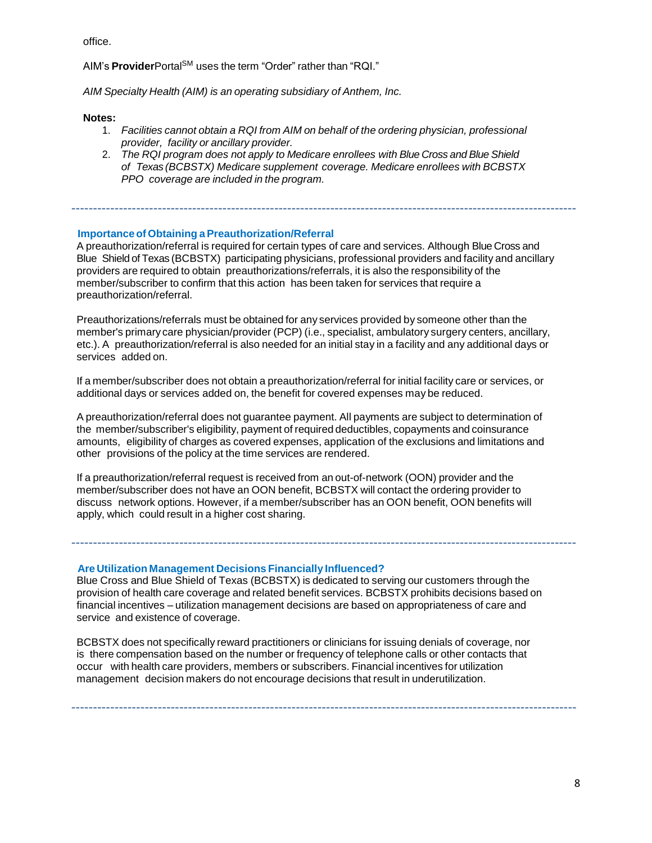office.

AIM's **Provider**Portal<sup>SM</sup> uses the term "Order" rather than "RQI."

*AIM Specialty Health (AIM) is an operating subsidiary of Anthem, Inc.*

#### **Notes:**

- 1. *Facilities cannot obtain a RQI from AIM on behalf of the ordering physician, professional provider, facility or ancillary provider.*
- 2. *The RQI program does not apply to Medicare enrollees with Blue Cross and Blue Shield of Texas (BCBSTX) Medicare supplement coverage. Medicare enrollees with BCBSTX PPO coverage are included in the program.*

---------------------------------------------------------------------------------------------------------------------

#### **Importanceof Obtaining a Preauthorization/Referral**

A preauthorization/referral is required for certain types of care and services. Although Blue Cross and Blue Shield of Texas (BCBSTX) participating physicians, professional providers and facility and ancillary providers are required to obtain preauthorizations/referrals, it is also the responsibility of the member/subscriber to confirm that this action has been taken for services that require a preauthorization/referral.

Preauthorizations/referrals must be obtained for any services provided by someone other than the member's primary care physician/provider (PCP) (i.e., specialist, ambulatory surgery centers, ancillary, etc.). A preauthorization/referral is also needed for an initial stay in a facility and any additional days or services added on.

If a member/subscriber does not obtain a preauthorization/referral for initial facility care or services, or additional days or services added on, the benefit for covered expenses may be reduced.

A preauthorization/referral does not guarantee payment. All payments are subject to determination of the member/subscriber's eligibility, payment of required deductibles, copayments and coinsurance amounts, eligibility of charges as covered expenses, application of the exclusions and limitations and other provisions of the policy at the time services are rendered.

If a preauthorization/referral request is received from an out-of-network (OON) provider and the member/subscriber does not have an OON benefit, BCBSTX will contact the ordering provider to discuss network options. However, if a member/subscriber has an OON benefit, OON benefits will apply, which could result in a higher cost sharing.

**Are Utilization Management Decisions Financially Influenced?**

Blue Cross and Blue Shield of Texas (BCBSTX) is dedicated to serving our customers through the provision of health care coverage and related benefit services. BCBSTX prohibits decisions based on financial incentives – utilization management decisions are based on appropriateness of care and service and existence of coverage.

---------------------------------------------------------------------------------------------------------------------

BCBSTX does not specifically reward practitioners or clinicians for issuing denials of coverage, nor is there compensation based on the number or frequency of telephone calls or other contacts that occur with health care providers, members or subscribers. Financial incentives for utilization management decision makers do not encourage decisions that result in underutilization.

---------------------------------------------------------------------------------------------------------------------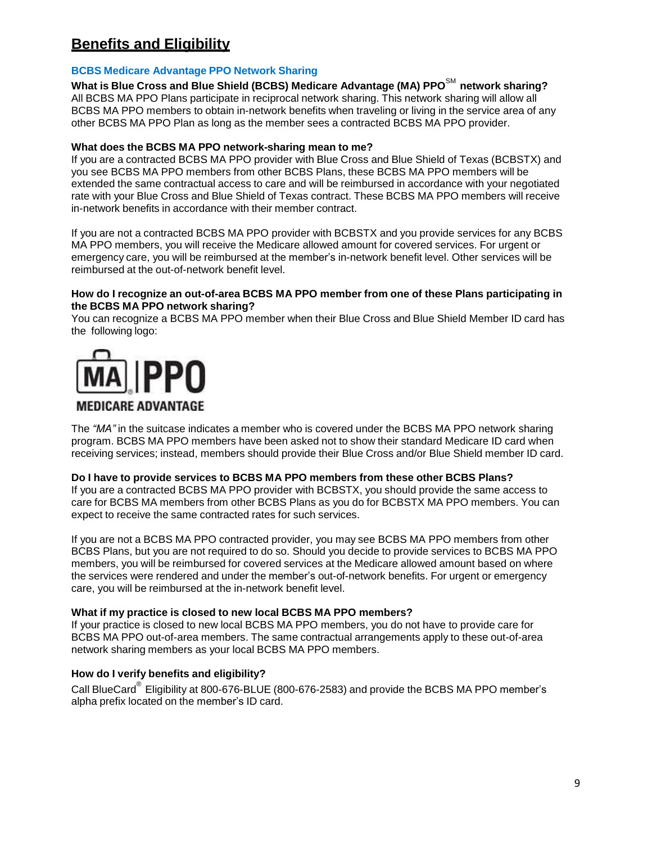# **Benefits and Eligibility**

# **BCBS Medicare Advantage PPO Network Sharing**

**What is Blue Cross and Blue Shield (BCBS) Medicare Advantage (MA) PPO**SM **network sharing?** All BCBS MA PPO Plans participate in reciprocal network sharing. This network sharing will allow all BCBS MA PPO members to obtain in-network benefits when traveling or living in the service area of any other BCBS MA PPO Plan as long as the member sees a contracted BCBS MA PPO provider.

# **What does the BCBS MA PPO network-sharing mean to me?**

If you are a contracted BCBS MA PPO provider with Blue Cross and Blue Shield of Texas (BCBSTX) and you see BCBS MA PPO members from other BCBS Plans, these BCBS MA PPO members will be extended the same contractual access to care and will be reimbursed in accordance with your negotiated rate with your Blue Cross and Blue Shield of Texas contract. These BCBS MA PPO members will receive in-network benefits in accordance with their member contract.

If you are not a contracted BCBS MA PPO provider with BCBSTX and you provide services for any BCBS MA PPO members, you will receive the Medicare allowed amount for covered services. For urgent or emergency care, you will be reimbursed at the member's in-network benefit level. Other services will be reimbursed at the out-of-network benefit level.

#### **How do I recognize an out-of-area BCBS MA PPO member from one of these Plans participating in the BCBS MA PPO network sharing?**

You can recognize a BCBS MA PPO member when their Blue Cross and Blue Shield Member ID card has the following logo:



# **MEDICARE ADVANTAGE**

The *"MA"* in the suitcase indicates a member who is covered under the BCBS MA PPO network sharing program. BCBS MA PPO members have been asked not to show their standard Medicare ID card when receiving services; instead, members should provide their Blue Cross and/or Blue Shield member ID card.

# **Do I have to provide services to BCBS MA PPO members from these other BCBS Plans?**

If you are a contracted BCBS MA PPO provider with BCBSTX, you should provide the same access to care for BCBS MA members from other BCBS Plans as you do for BCBSTX MA PPO members. You can expect to receive the same contracted rates for such services.

If you are not a BCBS MA PPO contracted provider, you may see BCBS MA PPO members from other BCBS Plans, but you are not required to do so. Should you decide to provide services to BCBS MA PPO members, you will be reimbursed for covered services at the Medicare allowed amount based on where the services were rendered and under the member's out-of-network benefits. For urgent or emergency care, you will be reimbursed at the in-network benefit level.

# **What if my practice is closed to new local BCBS MA PPO members?**

If your practice is closed to new local BCBS MA PPO members, you do not have to provide care for BCBS MA PPO out-of-area members. The same contractual arrangements apply to these out-of-area network sharing members as your local BCBS MA PPO members.

# **How do I verify benefits and eligibility?**

Call BlueCard<sup>®</sup> Eligibility at 800-676-BLUE (800-676-2583) and provide the BCBS MA PPO member's alpha prefix located on the member's ID card.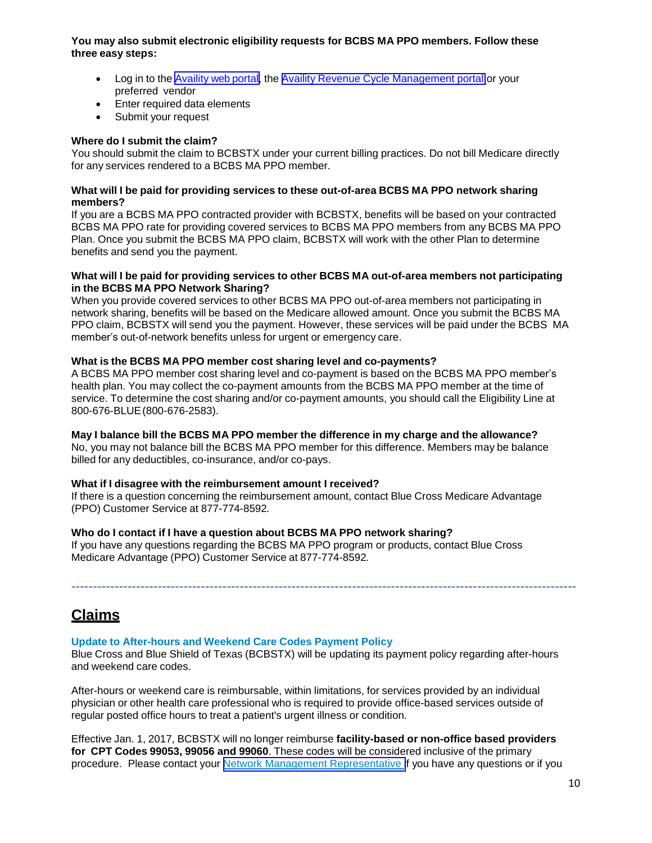### **You may also submit electronic eligibility requests for BCBS MA PPO members. Follow these three easy steps:**

- Log in to the Availity [web portal,](https://www.availity.com/) the Availity Revenue Cycle [Management](https://claims.realmed.com/) portal or your preferred vendor
- Enter required data elements
- Submit your request

#### **Where do I submit the claim?**

You should submit the claim to BCBSTX under your current billing practices. Do not bill Medicare directly for any services rendered to a BCBS MA PPO member.

#### **What will I be paid for providing services to these out-of-area BCBS MA PPO network sharing members?**

If you are a BCBS MA PPO contracted provider with BCBSTX, benefits will be based on your contracted BCBS MA PPO rate for providing covered services to BCBS MA PPO members from any BCBS MA PPO Plan. Once you submit the BCBS MA PPO claim, BCBSTX will work with the other Plan to determine benefits and send you the payment.

#### **What will I be paid for providing services to other BCBS MA out-of-area members not participating in the BCBS MA PPO Network Sharing?**

When you provide covered services to other BCBS MA PPO out-of-area members not participating in network sharing, benefits will be based on the Medicare allowed amount. Once you submit the BCBS MA PPO claim, BCBSTX will send you the payment. However, these services will be paid under the BCBS MA member's out-of-network benefits unless for urgent or emergency care.

#### **What is the BCBS MA PPO member cost sharing level and co-payments?**

A BCBS MA PPO member cost sharing level and co-payment is based on the BCBS MA PPO member's health plan. You may collect the co-payment amounts from the BCBS MA PPO member at the time of service. To determine the cost sharing and/or co-payment amounts, you should call the Eligibility Line at 800-676-BLUE(800-676-2583).

#### **May I balance bill the BCBS MA PPO member the difference in my charge and the allowance?**

No, you may not balance bill the BCBS MA PPO member for this difference. Members may be balance billed for any deductibles, co-insurance, and/or co-pays.

#### **What if I disagree with the reimbursement amount I received?**

If there is a question concerning the reimbursement amount, contact Blue Cross Medicare Advantage (PPO) Customer Service at 877-774-8592*.*

#### **Who do I contact if I have a question about BCBS MA PPO network sharing?**

If you have any questions regarding the BCBS MA PPO program or products, contact Blue Cross Medicare Advantage (PPO) Customer Service at 877-774-8592*.*

# **Claims**

#### **Update to After-hours and Weekend Care Codes Payment Policy**

Blue Cross and Blue Shield of Texas (BCBSTX) will be updating its payment policy regarding after-hours and weekend care codes.

---------------------------------------------------------------------------------------------------------------------

After-hours or weekend care is reimbursable, within limitations, for services provided by an individual physician or other health care professional who is required to provide office-based services outside of regular posted office hours to treat a patient's urgent illness or condition.

Effective Jan. 1, 2017, BCBSTX will no longer reimburse **facility-based or non-office based providers for CPT Codes 99053, 99056 and 99060**. These codes will be considered inclusive of the primary procedure. Please contact your Network Management [Representative](https://www.bcbstx.com/provider/contact_us.html) if you have any questions or if you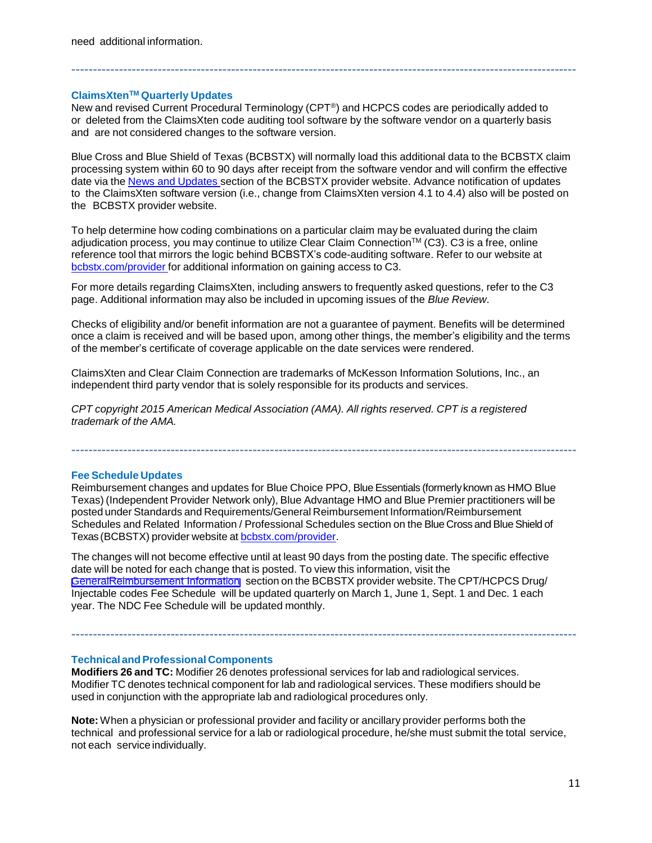need additional information.

#### **ClaimsXtenTM Quarterly Updates**

New and revised Current Procedural Terminology (CPT®) and HCPCS codes are periodically added to or deleted from the ClaimsXten code auditing tool software by the software vendor on a quarterly basis and are not considered changes to the software version.

---------------------------------------------------------------------------------------------------------------------

Blue Cross and Blue Shield of Texas (BCBSTX) will normally load this additional data to the BCBSTX claim processing system within 60 to 90 days after receipt from the software vendor and will confirm the effective date via the News and [Updates](http://www.bcbstx.com/provider/news/index.html) section of the BCBSTX provider website. Advance notification of updates to the ClaimsXten software version (i.e., change from ClaimsXten version 4.1 to 4.4) also will be posted on the BCBSTX provider website.

To help determine how coding combinations on a particular claim may be evaluated during the claim adjudication process, you may continue to utilize Clear Claim Connection™ (C3). C3 is a free, online reference tool that mirrors the logic behind BCBSTX's code-auditing software. Refer to our website at [bcbstx.com/provider](http://www.bcbstx.com/provider/) for additional information on gaining access to C3.

For more details regarding ClaimsXten, including answers to frequently asked questions, refer to the C3 page. Additional information may also be included in upcoming issues of the *Blue Review*.

Checks of eligibility and/or benefit information are not a guarantee of payment. Benefits will be determined once a claim is received and will be based upon, among other things, the member's eligibility and the terms of the member's certificate of coverage applicable on the date services were rendered.

ClaimsXten and Clear Claim Connection are trademarks of McKesson Information Solutions, Inc., an independent third party vendor that is solely responsible for its products and services.

*CPT copyright 2015 American Medical Association (AMA). All rights reserved. CPT is a registered trademark of the AMA.*

#### **Fee Schedule Updates**

Reimbursement changes and updates for Blue Choice PPO, Blue Essentials (formerlyknown as HMO Blue Texas) (Independent Provider Network only), Blue Advantage HMO and Blue Premier practitioners will be posted under Standards and Requirements/General Reimbursement Information/Reimbursement Schedules and Related Information / Professional Schedules section on the Blue Cross and Blue Shield of Texas (BCBSTX) provider website at bcbstx.com/provider.

---------------------------------------------------------------------------------------------------------------------

The changes will not become effective until at least 90 days from the posting date. The specific effective date will be noted for each change that is posted. To view this information, visit the General[Reimbursement Information](https://www.bcbstx.com/provider/gri/index.html) section on the BCBSTX provider website. The CPT/HCPCS Drug/ Injectable codes Fee Schedule will be updated quarterly on March 1, June 1, Sept. 1 and Dec. 1 each year. The NDC Fee Schedule will be updated monthly.

---------------------------------------------------------------------------------------------------------------------

#### **Technical andProfessional Components**

**Modifiers 26 and TC:** Modifier 26 denotes professional services for lab and radiological services. Modifier TC denotes technical component for lab and radiological services. These modifiers should be used in conjunction with the appropriate lab and radiological procedures only.

**Note:** When a physician or professional provider and facility or ancillary provider performs both the technical and professional service for a lab or radiological procedure, he/she must submit the total service, not each service individually.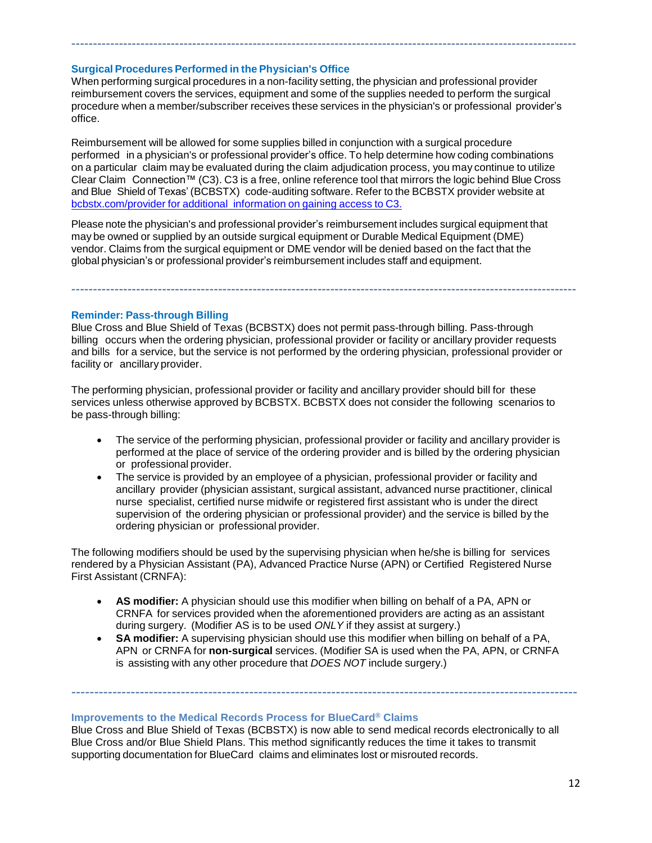### **Surgical Procedures Performed in the Physician's Office**

When performing surgical procedures in a non-facility setting, the physician and professional provider reimbursement covers the services, equipment and some of the supplies needed to perform the surgical procedure when a member/subscriber receives these services in the physician's or professional provider's office.

---------------------------------------------------------------------------------------------------------------------

Reimbursement will be allowed for some supplies billed in conjunction with a surgical procedure performed in a physician's or professional provider's office. To help determine how coding combinations on a particular claim may be evaluated during the claim adjudication process, you may continue to utilize Clear Claim Connection™ (C3). C3 is a free, online reference tool that mirrors the logic behind Blue Cross and Blue Shield of Texas' (BCBSTX) code-auditing software. Refer to the BCBSTX provider website at [bcbstx.com/provider](https://www.bcbstx.com/provider/tools/clear_claim_connection.html) for additional information on gaining access to C3.

Please note the physician's and professional provider's reimbursement includes surgical equipment that may be owned or supplied by an outside surgical equipment or Durable Medical Equipment (DME) vendor. Claims from the surgical equipment or DME vendor will be denied based on the fact that the global physician's or professional provider's reimbursement includes staff and equipment.

**Reminder: Pass-through Billing**

Blue Cross and Blue Shield of Texas (BCBSTX) does not permit pass-through billing. Pass-through billing occurs when the ordering physician, professional provider or facility or ancillary provider requests and bills for a service, but the service is not performed by the ordering physician, professional provider or facility or ancillary provider.

---------------------------------------------------------------------------------------------------------------------

The performing physician, professional provider or facility and ancillary provider should bill for these services unless otherwise approved by BCBSTX. BCBSTX does not consider the following scenarios to be pass-through billing:

- The service of the performing physician, professional provider or facility and ancillary provider is performed at the place of service of the ordering provider and is billed by the ordering physician or professional provider.
- The service is provided by an employee of a physician, professional provider or facility and ancillary provider (physician assistant, surgical assistant, advanced nurse practitioner, clinical nurse specialist, certified nurse midwife or registered first assistant who is under the direct supervision of the ordering physician or professional provider) and the service is billed by the ordering physician or professional provider.

The following modifiers should be used by the supervising physician when he/she is billing for services rendered by a Physician Assistant (PA), Advanced Practice Nurse (APN) or Certified Registered Nurse First Assistant (CRNFA):

- **AS modifier:** A physician should use this modifier when billing on behalf of a PA, APN or CRNFA for services provided when the aforementioned providers are acting as an assistant during surgery. (Modifier AS is to be used *ONLY* if they assist at surgery.)
- **SA modifier:** A supervising physician should use this modifier when billing on behalf of a PA, APN or CRNFA for **non-surgical** services. (Modifier SA is used when the PA, APN, or CRNFA is assisting with any other procedure that *DOES NOT* include surgery.)

---------------------------------------------------------------------------------------------------------------

**Improvements to the Medical Records Process for BlueCard® Claims**

Blue Cross and Blue Shield of Texas (BCBSTX) is now able to send medical records electronically to all Blue Cross and/or Blue Shield Plans. This method significantly reduces the time it takes to transmit supporting documentation for BlueCard claims and eliminates lost or misrouted records.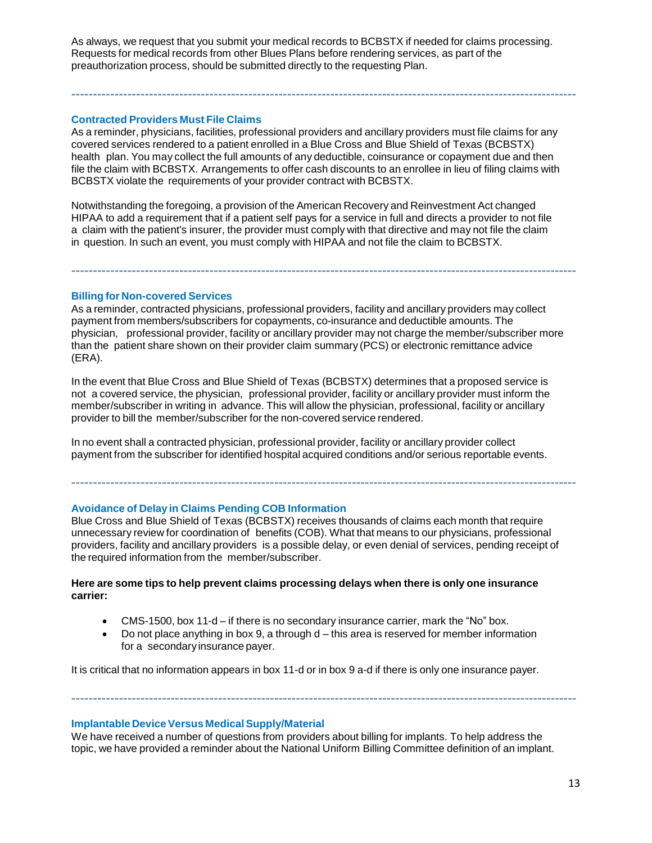As always, we request that you submit your medical records to BCBSTX if needed for claims processing. Requests for medical records from other Blues Plans before rendering services, as part of the preauthorization process, should be submitted directly to the requesting Plan.

---------------------------------------------------------------------------------------------------------------------

### **Contracted Providers Must File Claims**

As a reminder, physicians, facilities, professional providers and ancillary providers must file claims for any covered services rendered to a patient enrolled in a Blue Cross and Blue Shield of Texas (BCBSTX) health plan. You may collect the full amounts of any deductible, coinsurance or copayment due and then file the claim with BCBSTX. Arrangements to offer cash discounts to an enrollee in lieu of filing claims with BCBSTX violate the requirements of your provider contract with BCBSTX.

Notwithstanding the foregoing, a provision of the American Recovery and Reinvestment Act changed HIPAA to add a requirement that if a patient self pays for a service in full and directs a provider to not file a claim with the patient's insurer, the provider must comply with that directive and may not file the claim in question. In such an event, you must comply with HIPAA and not file the claim to BCBSTX.

### **Billing for Non-covered Services**

As a reminder, contracted physicians, professional providers, facility and ancillary providers may collect payment from members/subscribers for copayments, co-insurance and deductible amounts. The physician, professional provider, facility or ancillary provider may not charge the member/subscriber more than the patient share shown on their provider claim summary (PCS) or electronic remittance advice (ERA).

---------------------------------------------------------------------------------------------------------------------

In the event that Blue Cross and Blue Shield of Texas (BCBSTX) determines that a proposed service is not a covered service, the physician, professional provider, facility or ancillary provider must inform the member/subscriber in writing in advance. This will allow the physician, professional, facility or ancillary provider to bill the member/subscriber for the non-covered service rendered.

In no event shall a contracted physician, professional provider, facility or ancillary provider collect payment from the subscriber for identified hospital acquired conditions and/or serious reportable events.

# **Avoidance of Delay in Claims Pending COB Information**

Blue Cross and Blue Shield of Texas (BCBSTX) receives thousands of claims each month that require unnecessary review for coordination of benefits (COB). What that means to our physicians, professional providers, facility and ancillary providers is a possible delay, or even denial of services, pending receipt of the required information from the member/subscriber.

---------------------------------------------------------------------------------------------------------------------

### **Here are some tips to help prevent claims processing delays when there is only one insurance carrier:**

- CMS-1500, box 11-d if there is no secondary insurance carrier, mark the "No" box.
- $\bullet$  Do not place anything in box 9, a through  $d$  this area is reserved for member information for a secondaryinsurance payer.

---------------------------------------------------------------------------------------------------------------------

It is critical that no information appears in box 11-d or in box 9 a-d if there is only one insurance payer.

#### **Implantable Device Versus Medical Supply/Material**

We have received a number of questions from providers about billing for implants. To help address the topic, we have provided a reminder about the National Uniform Billing Committee definition of an implant.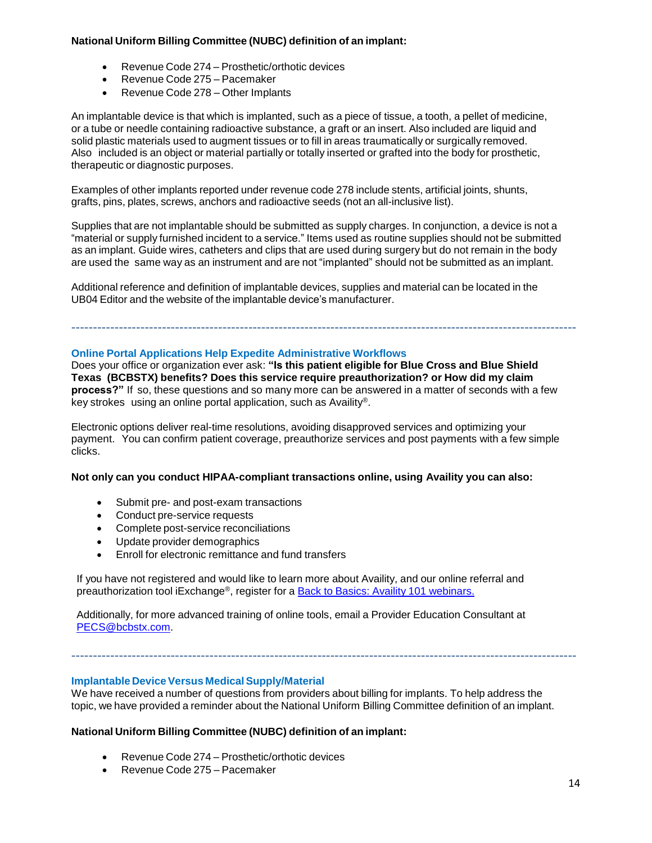### **National Uniform Billing Committee (NUBC) definition of an implant:**

- Revenue Code 274 Prosthetic/orthotic devices
- Revenue Code 275 Pacemaker
- Revenue Code 278 Other Implants

An implantable device is that which is implanted, such as a piece of tissue, a tooth, a pellet of medicine, or a tube or needle containing radioactive substance, a graft or an insert. Also included are liquid and solid plastic materials used to augment tissues or to fill in areas traumatically or surgically removed. Also included is an object or material partially or totally inserted or grafted into the body for prosthetic, therapeutic or diagnostic purposes.

Examples of other implants reported under revenue code 278 include stents, artificial joints, shunts, grafts, pins, plates, screws, anchors and radioactive seeds (not an all-inclusive list).

Supplies that are not implantable should be submitted as supply charges. In conjunction, a device is not a "material or supply furnished incident to a service." Items used as routine supplies should not be submitted as an implant. Guide wires, catheters and clips that are used during surgery but do not remain in the body are used the same way as an instrument and are not "implanted" should not be submitted as an implant.

Additional reference and definition of implantable devices, supplies and material can be located in the UB04 Editor and the website of the implantable device's manufacturer.

### **Online Portal Applications Help Expedite Administrative Workflows**

Does your office or organization ever ask: **"Is this patient eligible for Blue Cross and Blue Shield Texas (BCBSTX) benefits? Does this service require preauthorization? or How did my claim process?"** If so, these questions and so many more can be answered in a matter of seconds with a few key strokes using an online portal application, such as Availity®.

---------------------------------------------------------------------------------------------------------------------

Electronic options deliver real-time resolutions, avoiding disapproved services and optimizing your payment. You can confirm patient coverage, preauthorize services and post payments with a few simple clicks.

#### **Not only can you conduct HIPAA-compliant transactions online, using Availity you can also:**

- Submit pre- and post-exam transactions
- Conduct pre-service requests
- Complete post-service reconciliations
- Update provider demographics
- Enroll for electronic remittance and fund transfers

If you have not registered and would like to learn more about Availity, and our online referral and preauthorization tool iExchange®, register for a Back to Basics: Availity 101 [webinars](http://www.bcbstx.com/provider/training/availity.html).

Additionally, for more advanced training of online tools, email a Provider Education Consultant at [PECS@bcbstx.com.](mailto:PECS@bcbstx.com)

#### **Implantable Device Versus Medical Supply/Material**

We have received a number of questions from providers about billing for implants. To help address the topic, we have provided a reminder about the National Uniform Billing Committee definition of an implant.

---------------------------------------------------------------------------------------------------------------------

# **National Uniform Billing Committee (NUBC) definition of an implant:**

- Revenue Code 274 Prosthetic/orthotic devices
- Revenue Code 275 Pacemaker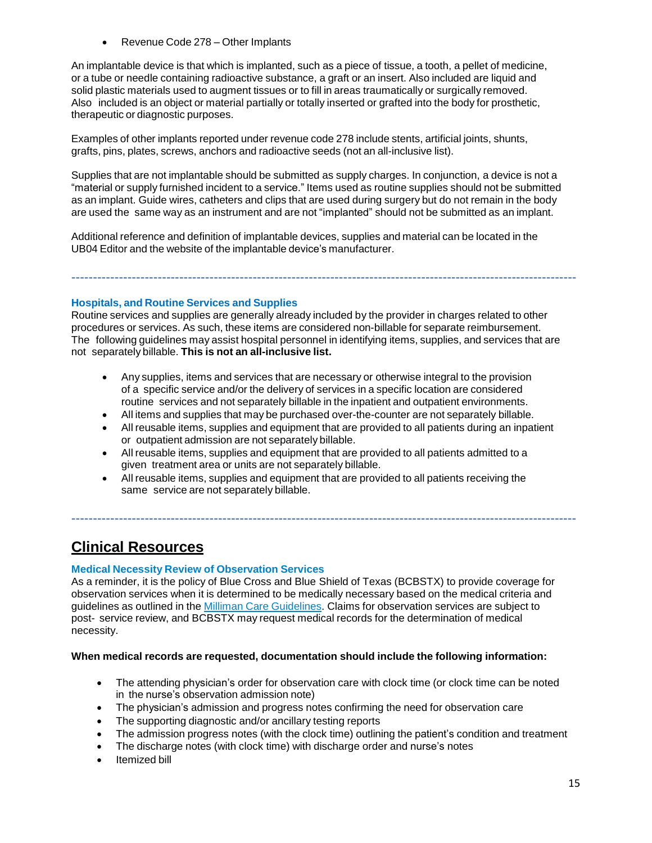Revenue Code 278 – Other Implants

An implantable device is that which is implanted, such as a piece of tissue, a tooth, a pellet of medicine, or a tube or needle containing radioactive substance, a graft or an insert. Also included are liquid and solid plastic materials used to augment tissues or to fill in areas traumatically or surgically removed. Also included is an object or material partially or totally inserted or grafted into the body for prosthetic, therapeutic or diagnostic purposes.

Examples of other implants reported under revenue code 278 include stents, artificial joints, shunts, grafts, pins, plates, screws, anchors and radioactive seeds (not an all-inclusive list).

Supplies that are not implantable should be submitted as supply charges. In conjunction, a device is not a "material or supply furnished incident to a service." Items used as routine supplies should not be submitted as an implant. Guide wires, catheters and clips that are used during surgery but do not remain in the body are used the same way as an instrument and are not "implanted" should not be submitted as an implant.

Additional reference and definition of implantable devices, supplies and material can be located in the UB04 Editor and the website of the implantable device's manufacturer.

---------------------------------------------------------------------------------------------------------------------

#### **Hospitals, and Routine Services and Supplies**

Routine services and supplies are generally already included by the provider in charges related to other procedures or services. As such, these items are considered non-billable for separate reimbursement. The following guidelines may assist hospital personnel in identifying items, supplies, and services that are not separately billable. **This is not an all-inclusive list.**

- Any supplies, items and services that are necessary or otherwise integral to the provision of a specific service and/or the delivery of services in a specific location are considered routine services and not separately billable in the inpatient and outpatient environments.
- All items and supplies that may be purchased over-the-counter are not separately billable.
- All reusable items, supplies and equipment that are provided to all patients during an inpatient or outpatient admission are not separately billable.
- All reusable items, supplies and equipment that are provided to all patients admitted to a given treatment area or units are not separately billable.
- All reusable items, supplies and equipment that are provided to all patients receiving the same service are not separately billable.

---------------------------------------------------------------------------------------------------------------------

# **Clinical Resources**

#### **Medical Necessity Review of Observation Services**

As a reminder, it is the policy of Blue Cross and Blue Shield of Texas (BCBSTX) to provide coverage for observation services when it is determined to be medically necessary based on the medical criteria and guidelines as outlined in the Milliman Care [Guidelines](https://www.mcg.com/care-guidelines/care-guidelines/). Claims for observation services are subject to post- service review, and BCBSTX may request medical records for the determination of medical necessity.

#### **When medical records are requested, documentation should include the following information:**

- The attending physician's order for observation care with clock time (or clock time can be noted in the nurse's observation admission note)
- The physician's admission and progress notes confirming the need for observation care
- The supporting diagnostic and/or ancillary testing reports
- The admission progress notes (with the clock time) outlining the patient's condition and treatment
- The discharge notes (with clock time) with discharge order and nurse's notes
- Itemized bill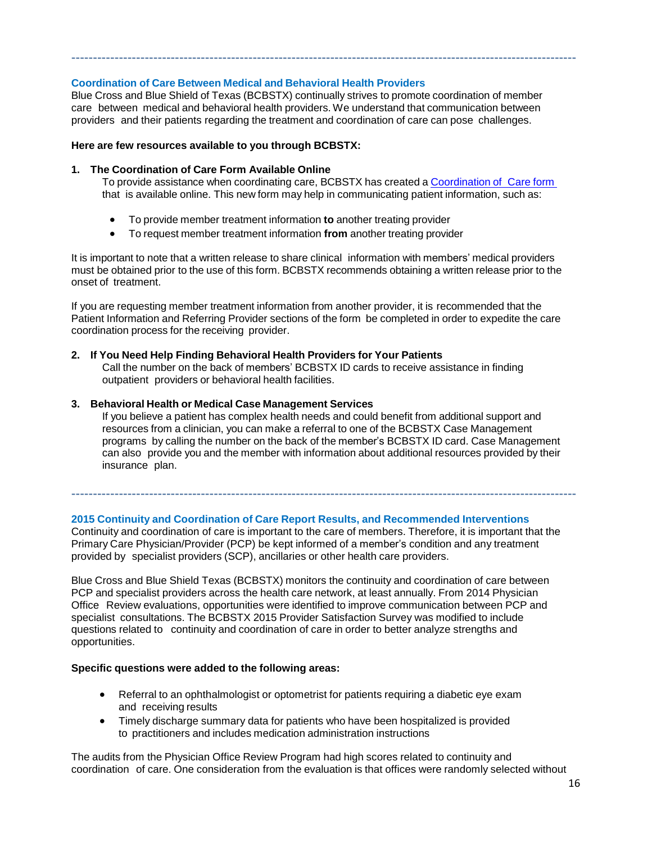# **Coordination of Care Between Medical and Behavioral Health Providers**

Blue Cross and Blue Shield of Texas (BCBSTX) continually strives to promote coordination of member care between medical and behavioral health providers. We understand that communication between providers and their patients regarding the treatment and coordination of care can pose challenges.

---------------------------------------------------------------------------------------------------------------------

#### **Here are few resources available to you through BCBSTX:**

#### **1. The Coordination of Care Form Available Online**

To provide assistance when coordinating care, BCBSTX has created a [Coordination](http://www.bcbstx.com/provider/pdf/bh_coordination_care.pdf) of Care form that is available online. This new form may help in communicating patient information, such as:

- To provide member treatment information **to** another treating provider
- To request member treatment information **from** another treating provider

It is important to note that a written release to share clinical information with members' medical providers must be obtained prior to the use of this form. BCBSTX recommends obtaining a written release prior to the onset of treatment.

If you are requesting member treatment information from another provider, it is recommended that the Patient Information and Referring Provider sections of the form be completed in order to expedite the care coordination process for the receiving provider.

### **2. If You Need Help Finding Behavioral Health Providers for Your Patients**

Call the number on the back of members' BCBSTX ID cards to receive assistance in finding outpatient providers or behavioral health facilities.

### **3. Behavioral Health or Medical Case Management Services**

If you believe a patient has complex health needs and could benefit from additional support and resources from a clinician, you can make a referral to one of the BCBSTX Case Management programs by calling the number on the back of the member's BCBSTX ID card. Case Management can also provide you and the member with information about additional resources provided by their insurance plan.

# **2015 Continuity and Coordination of Care Report Results, and Recommended Interventions**

Continuity and coordination of care is important to the care of members. Therefore, it is important that the Primary Care Physician/Provider (PCP) be kept informed of a member's condition and any treatment provided by specialist providers (SCP), ancillaries or other health care providers.

---------------------------------------------------------------------------------------------------------------------

Blue Cross and Blue Shield Texas (BCBSTX) monitors the continuity and coordination of care between PCP and specialist providers across the health care network, at least annually. From 2014 Physician Office Review evaluations, opportunities were identified to improve communication between PCP and specialist consultations. The BCBSTX 2015 Provider Satisfaction Survey was modified to include questions related to continuity and coordination of care in order to better analyze strengths and opportunities.

#### **Specific questions were added to the following areas:**

- Referral to an ophthalmologist or optometrist for patients requiring a diabetic eye exam and receiving results
- Timely discharge summary data for patients who have been hospitalized is provided to practitioners and includes medication administration instructions

The audits from the Physician Office Review Program had high scores related to continuity and coordination of care. One consideration from the evaluation is that offices were randomly selected without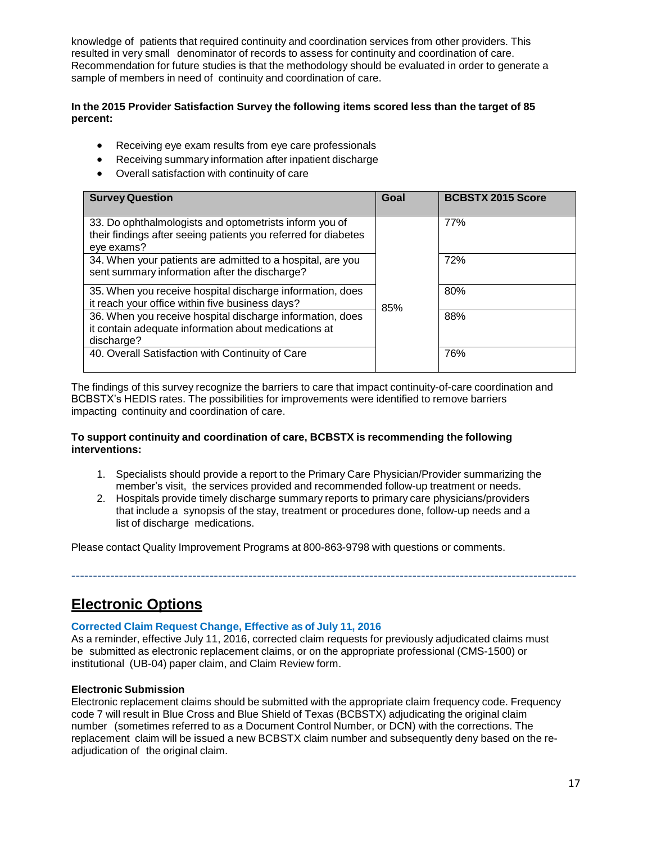knowledge of patients that required continuity and coordination services from other providers. This resulted in very small denominator of records to assess for continuity and coordination of care. Recommendation for future studies is that the methodology should be evaluated in order to generate a sample of members in need of continuity and coordination of care.

#### **In the 2015 Provider Satisfaction Survey the following items scored less than the target of 85 percent:**

- Receiving eye exam results from eye care professionals
- Receiving summary information after inpatient discharge
- Overall satisfaction with continuity of care

| <b>Survey Question</b>                                                                                                                 | Goal | <b>BCBSTX 2015 Score</b> |
|----------------------------------------------------------------------------------------------------------------------------------------|------|--------------------------|
| 33. Do ophthalmologists and optometrists inform you of<br>their findings after seeing patients you referred for diabetes<br>eye exams? |      | 77%                      |
| 34. When your patients are admitted to a hospital, are you<br>sent summary information after the discharge?                            |      | 72%                      |
| 35. When you receive hospital discharge information, does<br>it reach your office within five business days?                           | 85%  | 80%                      |
| 36. When you receive hospital discharge information, does<br>it contain adequate information about medications at<br>discharge?        |      | 88%                      |
| 40. Overall Satisfaction with Continuity of Care                                                                                       |      | 76%                      |

The findings of this survey recognize the barriers to care that impact continuity-of-care coordination and BCBSTX's HEDIS rates. The possibilities for improvements were identified to remove barriers impacting continuity and coordination of care.

### **To support continuity and coordination of care, BCBSTX is recommending the following interventions:**

1. Specialists should provide a report to the Primary Care Physician/Provider summarizing the member's visit, the services provided and recommended follow-up treatment or needs.

---------------------------------------------------------------------------------------------------------------------

2. Hospitals provide timely discharge summary reports to primary care physicians/providers that include a synopsis of the stay, treatment or procedures done, follow-up needs and a list of discharge medications.

Please contact Quality Improvement Programs at 800-863-9798 with questions or comments.

**Electronic Options**

# **Corrected Claim Request Change, Effective as of July 11, 2016**

As a reminder, effective July 11, 2016, corrected claim requests for previously adjudicated claims must be submitted as electronic replacement claims, or on the appropriate professional (CMS-1500) or institutional (UB-04) paper claim, and Claim Review form.

# **Electronic Submission**

Electronic replacement claims should be submitted with the appropriate claim frequency code. Frequency code 7 will result in Blue Cross and Blue Shield of Texas (BCBSTX) adjudicating the original claim number (sometimes referred to as a Document Control Number, or DCN) with the corrections. The replacement claim will be issued a new BCBSTX claim number and subsequently deny based on the readjudication of the original claim.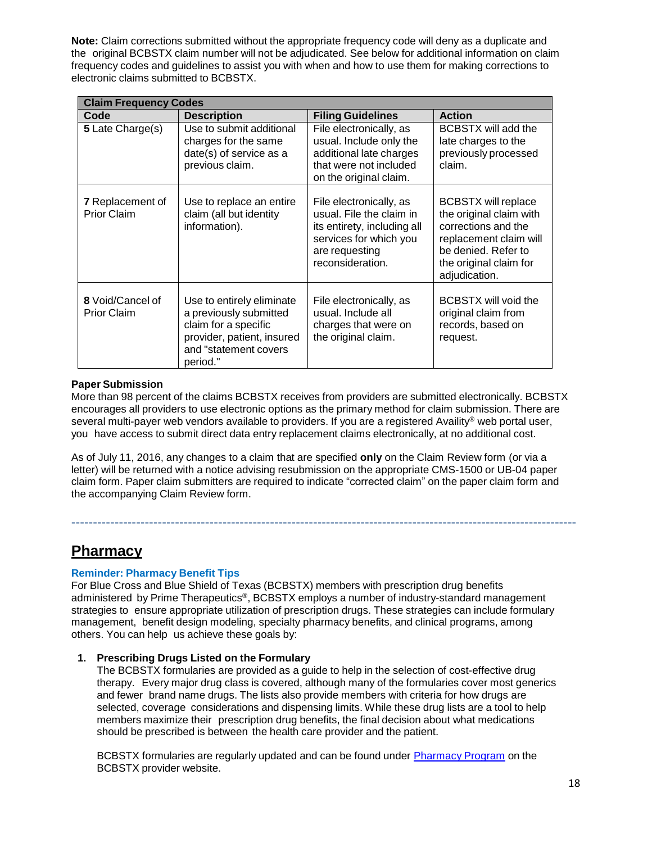**Note:** Claim corrections submitted without the appropriate frequency code will deny as a duplicate and the original BCBSTX claim number will not be adjudicated. See below for additional information on claim frequency codes and guidelines to assist you with when and how to use them for making corrections to electronic claims submitted to BCBSTX.

| <b>Claim Frequency Codes</b>                  |                                                                                                                                                |                                                                                                                                                    |                                                                                                                                                                          |  |
|-----------------------------------------------|------------------------------------------------------------------------------------------------------------------------------------------------|----------------------------------------------------------------------------------------------------------------------------------------------------|--------------------------------------------------------------------------------------------------------------------------------------------------------------------------|--|
| Code                                          | <b>Description</b>                                                                                                                             | <b>Filing Guidelines</b>                                                                                                                           | <b>Action</b>                                                                                                                                                            |  |
| 5 Late Charge(s)                              | Use to submit additional<br>charges for the same<br>date(s) of service as a<br>previous claim.                                                 | File electronically, as<br>usual. Include only the<br>additional late charges<br>that were not included<br>on the original claim.                  | BCBSTX will add the<br>late charges to the<br>previously processed<br>claim.                                                                                             |  |
| <b>7</b> Replacement of<br><b>Prior Claim</b> | Use to replace an entire<br>claim (all but identity<br>information).                                                                           | File electronically, as<br>usual. File the claim in<br>its entirety, including all<br>services for which you<br>are requesting<br>reconsideration. | <b>BCBSTX will replace</b><br>the original claim with<br>corrections and the<br>replacement claim will<br>be denied. Refer to<br>the original claim for<br>adjudication. |  |
| 8 Void/Cancel of<br><b>Prior Claim</b>        | Use to entirely eliminate<br>a previously submitted<br>claim for a specific<br>provider, patient, insured<br>and "statement covers<br>period." | File electronically, as<br>usual. Include all<br>charges that were on<br>the original claim.                                                       | BCBSTX will void the<br>original claim from<br>records, based on<br>request.                                                                                             |  |

### **Paper Submission**

More than 98 percent of the claims BCBSTX receives from providers are submitted electronically. BCBSTX encourages all providers to use electronic options as the primary method for claim submission. There are several multi-payer web vendors available to providers. If you are a registered Availity® web portal user, you have access to submit direct data entry replacement claims electronically, at no additional cost.

As of July 11, 2016, any changes to a claim that are specified **only** on the Claim Review form (or via a letter) will be returned with a notice advising resubmission on the appropriate CMS-1500 or UB-04 paper claim form. Paper claim submitters are required to indicate "corrected claim" on the paper claim form and the accompanying Claim Review form.

---------------------------------------------------------------------------------------------------------------------

# **Pharmacy**

# **Reminder: Pharmacy Benefit Tips**

For Blue Cross and Blue Shield of Texas (BCBSTX) members with prescription drug benefits administered by Prime Therapeutics®, BCBSTX employs a number of industry-standard management strategies to ensure appropriate utilization of prescription drugs. These strategies can include formulary management, benefit design modeling, specialty pharmacy benefits, and clinical programs, among others. You can help us achieve these goals by:

# **1. Prescribing Drugs Listed on the Formulary**

The BCBSTX formularies are provided as a guide to help in the selection of cost-effective drug therapy. Every major drug class is covered, although many of the formularies cover most generics and fewer brand name drugs. The lists also provide members with criteria for how drugs are selected, coverage considerations and dispensing limits. While these drug lists are a tool to help members maximize their prescription drug benefits, the final decision about what medications should be prescribed is between the health care provider and the patient.

BCBSTX formularies are regularly updated and can be found under [Pharmacy](https://www.bcbstx.com/provider/pharmacy/index.html) Program on the BCBSTX provider website.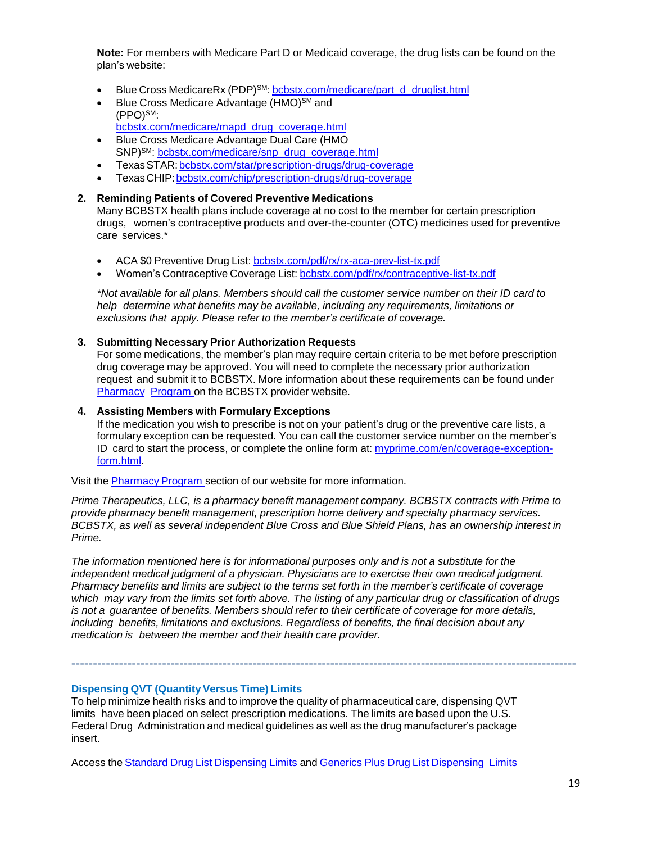**Note:** For members with Medicare Part D or Medicaid coverage, the drug lists can be found on the plan's website:

- Blue Cross MedicareRx (PDP)<sup>SM</sup>: [bcbstx.com/medicare/part\\_d\\_druglist.html](http://www.bcbstx.com/medicare/part_d_druglist.html)
- Blue Cross Medicare Advantage (HMO)<sup>SM</sup> and (PPO)SM: [bcbstx.com/medicare/mapd\\_drug\\_coverage.html](http://www.bcbstx.com/medicare/mapd_drug_coverage.html)
- Blue Cross Medicare Advantage Dual Care (HMO SNP)<sup>SM</sup>: [bcbstx.com/medicare/snp\\_drug\\_coverage.html](http://www.bcbstx.com/medicare/snp_drug_coverage.html)
- TexasSTAR[:bcbstx.com/star/prescription-drugs/drug-coverage](http://www.bcbstx.com/star/prescription-drugs/drug-coverage)
- TexasCHIP[:bcbstx.com/chip/prescription-drugs/drug-coverage](http://www.bcbstx.com/chip/prescription-drugs/drug-coverage)

#### **2. Reminding Patients of Covered Preventive Medications**

Many BCBSTX health plans include coverage at no cost to the member for certain prescription drugs, women's contraceptive products and over-the-counter (OTC) medicines used for preventive care services.\*

- ACA \$0 Preventive Drug List: [bcbstx.com/pdf/rx/rx-aca-prev-list-tx.pdf](http://www.bcbstx.com/pdf/rx/rx-aca-prev-list-tx.pdf)
- Women's Contraceptive Coverage List: [bcbstx.com/pdf/rx/contraceptive-list-tx.pdf](http://www.bcbstx.com/pdf/rx/contraceptive-list-tx.pdf)

*\*Not available for all plans. Members should call the customer service number on their ID card to help determine what benefits may be available, including any requirements, limitations or exclusions that apply. Please refer to the member's certificate of coverage.*

#### **3. Submitting Necessary Prior Authorization Requests**

For some medications, the member's plan may require certain criteria to be met before prescription drug coverage may be approved. You will need to complete the necessary prior authorization request and submit it to BCBSTX. More information about these requirements can be found under [Pharmacy](http://www.bcbstx.com/provider/pharmacy/index.html) [Program](http://www.bcbstx.com/provider/pharmacy/index.html) on the BCBSTX provider website.

#### **4. Assisting Members with Formulary Exceptions**

If the medication you wish to prescribe is not on your patient's drug or the preventive care lists, a formulary exception can be requested. You can call the customer service number on the member'[s](http://www.myprime.com/en/coverage-exception-form.html) ID card to start the process, or complete the online form at: [myprime.com/en/coverage-exception](http://www.myprime.com/en/coverage-exception-form.html)[form.html.](http://www.myprime.com/en/coverage-exception-form.html)

Visit the [Pharmacy](http://www.bcbstx.com/provider/pharmacy/index.html) Program section of our website for more information.

*Prime Therapeutics, LLC, is a pharmacy benefit management company. BCBSTX contracts with Prime to provide pharmacy benefit management, prescription home delivery and specialty pharmacy services. BCBSTX, as well as several independent Blue Cross and Blue Shield Plans, has an ownership interest in Prime.*

*The information mentioned here is for informational purposes only and is not a substitute for the independent medical judgment of a physician. Physicians are to exercise their own medical judgment. Pharmacy benefits and limits are subject to the terms set forth in the member's certificate of coverage* which may vary from the limits set forth above. The listing of any particular drug or classification of drugs *is not a guarantee of benefits. Members should refer to their certificate of coverage for more details, including benefits, limitations and exclusions. Regardless of benefits, the final decision about any medication is between the member and their health care provider.*

---------------------------------------------------------------------------------------------------------------------

#### **Dispensing QVT (Quantity Versus Time) Limits**

To help minimize health risks and to improve the quality of pharmaceutical care, dispensing QVT limits have been placed on select prescription medications. The limits are based upon the U.S. Federal Drug Administration and medical guidelines as well as the drug manufacturer's package insert.

Access the Standard Drug List [Dispensing](https://www.bcbstx.com/pdf/rx/rx_dispensing_limits_std_tx.pdf) Limits and Generics Plus Drug List [Dispensing](https://www.bcbstx.com/pdf/rx/rx_dispensing_limits_gen_tx.pdf) Limits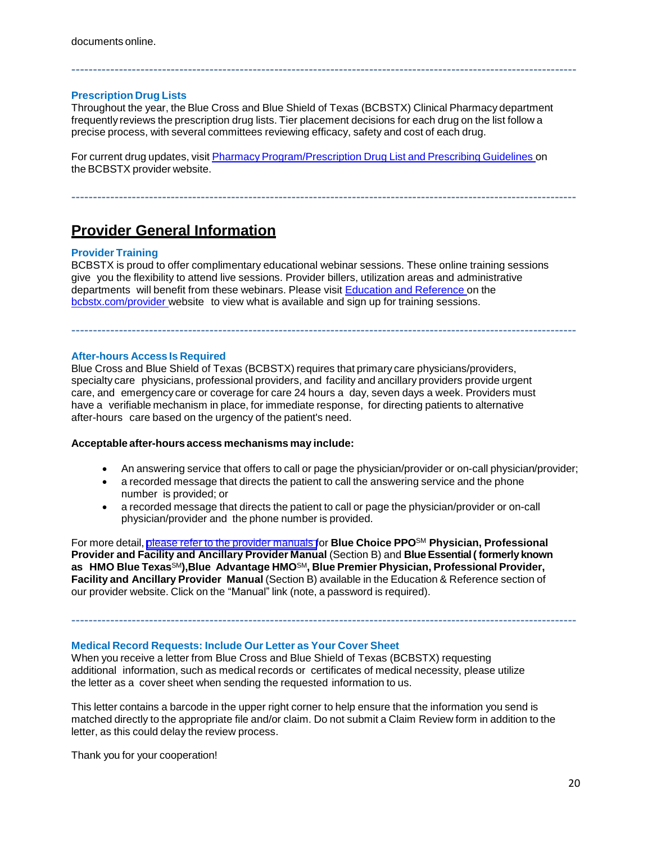#### **Prescription Drug Lists**

Throughout the year, the Blue Cross and Blue Shield of Texas (BCBSTX) Clinical Pharmacy department frequently reviews the prescription drug lists. Tier placement decisions for each drug on the list follow a precise process, with several committees reviewing efficacy, safety and cost of each drug.

---------------------------------------------------------------------------------------------------------------------

For current drug updates, visit Pharmacy Program/Prescription Drug List and Prescribing Guidelines on the BCBSTX provider website.

---------------------------------------------------------------------------------------------------------------------

# **Provider General Information**

#### **Provider Training**

BCBSTX is proud to offer complimentary educational webinar sessions. These online training sessions give you the flexibility to attend live sessions. Provider billers, utilization areas and administrative departments will benefit from these webinars. Please visit Education and [Reference](http://www.bcbstx.com/provider/training/index.html) on the [bcbstx.com/provider](http://www.bcbstx.com/provider/index.html) website to view what is available and sign up for training sessions.

---------------------------------------------------------------------------------------------------------------------

#### **After-hours Access Is Required**

Blue Cross and Blue Shield of Texas (BCBSTX) requires that primary care physicians/providers, specialty care physicians, professional providers, and facility and ancillary providers provide urgent care, and emergency care or coverage for care 24 hours a day, seven days a week. Providers must have a verifiable mechanism in place, for immediate response, for directing patients to alternative after-hours care based on the urgency of the patient's need.

#### **Acceptable after-hours access mechanisms may include:**

- An answering service that offers to call or page the physician/provider or on-call physician/provider;
- a recorded message that directs the patient to call the answering service and the phone number is provided; or
- a recorded message that directs the patient to call or page the physician/provider or on-call physician/provider and the phone number is provided.

For more detail, please refer to the provider [manuals](https://www.bcbstx.com/provider/gri/index.html) for **Blue Choice PPO**SM **Physician, Professional Provider and Facility and Ancillary Provider Manual** (Section B) and **Blue Essential( formerly known as HMO Blue Texas**SM**),Blue Advantage HMO**SM**, Blue Premier Physician, Professional Provider, Facility and Ancillary Provider Manual** (Section B) available in the Education & Reference section of our provider website. Click on the "Manual" link (note, a password is required).

---------------------------------------------------------------------------------------------------------------------

#### **Medical Record Requests: Include Our Letter as Your Cover Sheet**

When you receive a letter from Blue Cross and Blue Shield of Texas (BCBSTX) requesting additional information, such as medical records or certificates of medical necessity, please utilize the letter as a cover sheet when sending the requested information to us.

This letter contains a barcode in the upper right corner to help ensure that the information you send is matched directly to the appropriate file and/or claim. Do not submit a Claim Review form in addition to the letter, as this could delay the review process.

Thank you for your cooperation!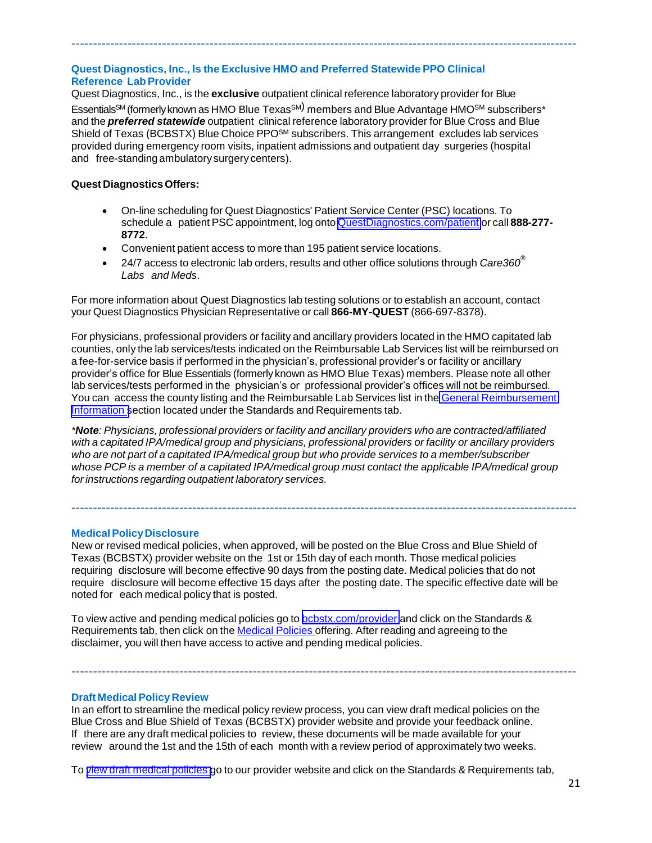# **Quest Diagnostics, Inc., Is the Exclusive HMO and Preferred Statewide PPO Clinical Reference LabProvider**

Quest Diagnostics, Inc., is the **exclusive** outpatient clinical reference laboratory provider for Blue

Essentials<sup>SM</sup> (formerly known as HMO Blue Texas<sup>SM)</sup> members and Blue Advantage HMO<sup>SM</sup> subscribers\* and the *preferred statewide* outpatient clinical reference laboratory provider for Blue Cross and Blue Shield of Texas (BCBSTX) Blue Choice PPO<sup>SM</sup> subscribers. This arrangement excludes lab services provided during emergency room visits, inpatient admissions and outpatient day surgeries (hospital and free-standing ambulatorysurgery centers).

---------------------------------------------------------------------------------------------------------------------

### **Quest Diagnostics Offers:**

- On-line scheduling for Quest Diagnostics' Patient Service Center (PSC) locations. To schedule a patient PSC appointment, log onto [QuestDiagnostics.com/patient](http://www.questdiagnostics.com/home/patients) or call **888-277- 8772**.
- Convenient patient access to more than 195 patient service locations.
- 24/7 access to electronic lab orders, results and other office solutions through *Care360® Labs and Meds*.

For more information about Quest Diagnostics lab testing solutions or to establish an account, contact your Quest Diagnostics Physician Representative or call **866-MY-QUEST** (866-697-8378).

For physicians, professional providers or facility and ancillary providers located in the HMO capitated lab counties, only the lab services/tests indicated on the Reimbursable Lab Services list will be reimbursed on a fee-for-service basis if performed in the physician's, professional provider's or facility or ancillary provider's office for Blue Essentials (formerly known as HMO Blue Texas) members. Please note all other lab services/tests performed in the physician's or professional provider's offices will not be reimbursed. You can access the county listing and the Reimbursable Lab Services list in the General [Reimbursement](https://www.bcbstx.com/provider/gri/index.html) [Information](https://www.bcbstx.com/provider/gri/index.html) section located under the Standards and Requirements tab.

*\*Note: Physicians, professional providers or facility and ancillary providers who are contracted/affiliated with a capitated IPA/medical group and physicians, professional providers or facility or ancillary providers who are not part of a capitated IPA/medical group but who provide services to a member/subscriber whose PCP is a member of a capitated IPA/medical group must contact the applicable IPA/medical group for instructions regarding outpatient laboratory services.*

---------------------------------------------------------------------------------------------------------------------

# **MedicalPolicyDisclosure**

New or revised medical policies, when approved, will be posted on the Blue Cross and Blue Shield of Texas (BCBSTX) provider website on the 1st or 15th day of each month. Those medical policies requiring disclosure will become effective 90 days from the posting date. Medical policies that do not require disclosure will become effective 15 days after the posting date. The specific effective date will be noted for each medical policy that is posted.

To view active and pending medical policies go to [bcbstx.com/provider](https://www.bcbstx.com/provider/) and click on the Standards & Requirements tab, then click on the Medical [Policies](http://www.medicalpolicy.hcsc.net/medicalpolicy/disclaimer?corpEntCd=TX1) offering. After reading and agreeing to the disclaimer, you will then have access to active and pending medical policies.

---------------------------------------------------------------------------------------------------------------------

#### **Draft Medical Policy Review**

In an effort to streamline the medical policy review process, you can view draft medical policies on the Blue Cross and Blue Shield of Texas (BCBSTX) provider website and provide your feedback online. If there are any draft medical policies to review, these documents will be made available for your review around the 1st and the 15th of each month with a review period of approximately two weeks.

To view draft [medical](http://www.medicalpolicy.hcsc.net/medicalpolicy/disclaimer?corpEntCd=TX1) policies go to our provider website and click on the Standards & Requirements tab,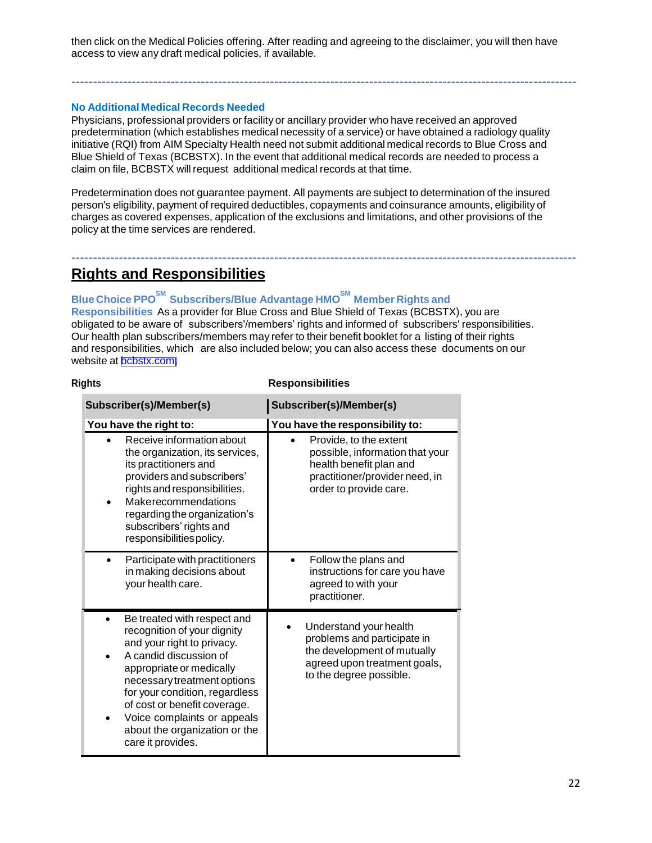then click on the Medical Policies offering. After reading and agreeing to the disclaimer, you will then have access to view any draft medical policies, if available.

---------------------------------------------------------------------------------------------------------------------

### **No Additional Medical Records Needed**

Physicians, professional providers or facility or ancillary provider who have received an approved predetermination (which establishes medical necessity of a service) or have obtained a radiology quality initiative (RQI) from AIM Specialty Health need not submit additional medical records to Blue Cross and Blue Shield of Texas (BCBSTX). In the event that additional medical records are needed to process a claim on file, BCBSTX will request additional medical records at that time.

Predetermination does not guarantee payment. All payments are subject to determination of the insured person's eligibility, payment of required deductibles, copayments and coinsurance amounts, eligibility of charges as covered expenses, application of the exclusions and limitations, and other provisions of the policy at the time services are rendered.

---------------------------------------------------------------------------------------------------------------------

# **Rights and Responsibilities**

# **Blue Choice PPOSM Subscribers/Blue Advantage HMOSM Member Rights and**

**Responsibilities** As a provider for Blue Cross and Blue Shield of Texas (BCBSTX), you are obligated to be aware of subscribers'/members' rights and informed of subscribers' responsibilities. Our health plan subscribers/members may refer to their benefit booklet for a listing of their rights and responsibilities, which are also included below; you can also access these documents on our website at [bcbstx.com.](https://www.bcbstx.com/)

#### **Rights Responsibilities**

| Subscriber(s)/Member(s)                                                                                                                                                                                                                                                                                                                   | Subscriber(s)/Member(s)                                                                                                                          |
|-------------------------------------------------------------------------------------------------------------------------------------------------------------------------------------------------------------------------------------------------------------------------------------------------------------------------------------------|--------------------------------------------------------------------------------------------------------------------------------------------------|
| You have the right to:                                                                                                                                                                                                                                                                                                                    | You have the responsibility to:                                                                                                                  |
| Receive information about<br>the organization, its services,<br>its practitioners and<br>providers and subscribers'<br>rights and responsibilities.<br>Makerecommendations<br>regarding the organization's<br>subscribers' rights and<br>responsibilities policy.                                                                         | Provide, to the extent<br>possible, information that your<br>health benefit plan and<br>practitioner/provider need, in<br>order to provide care. |
| Participate with practitioners<br>in making decisions about<br>your health care.                                                                                                                                                                                                                                                          | Follow the plans and<br>instructions for care you have<br>agreed to with your<br>practitioner.                                                   |
| Be treated with respect and<br>٠<br>recognition of your dignity<br>and your right to privacy.<br>A candid discussion of<br>appropriate or medically<br>necessary treatment options<br>for your condition, regardless<br>of cost or benefit coverage.<br>Voice complaints or appeals<br>about the organization or the<br>care it provides. | Understand your health<br>problems and participate in<br>the development of mutually<br>agreed upon treatment goals,<br>to the degree possible.  |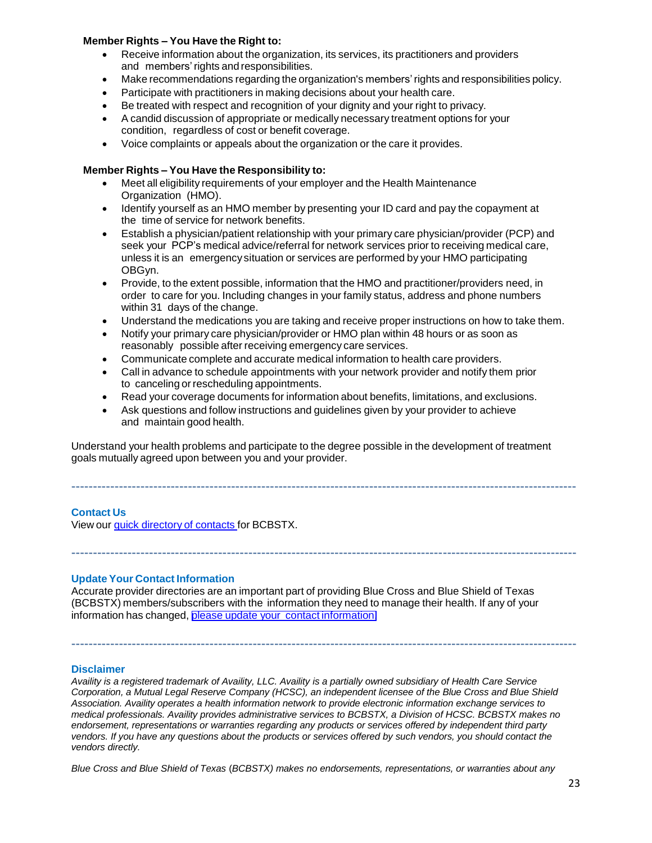#### **Member Rights – You Have the Right to:**

- Receive information about the organization, its services, its practitioners and providers and members'rights and responsibilities.
- Make recommendations regarding the organization's members'rights and responsibilities policy.
- Participate with practitioners in making decisions about your health care.
- Be treated with respect and recognition of your dignity and your right to privacy.
- A candid discussion of appropriate or medically necessary treatment options for your condition, regardless of cost or benefit coverage.
- Voice complaints or appeals about the organization or the care it provides.

### **Member Rights – You Have the Responsibility to:**

- Meet all eligibility requirements of your employer and the Health Maintenance Organization (HMO).
- Identify yourself as an HMO member by presenting your ID card and pay the copayment at the time of service for network benefits.
- Establish a physician/patient relationship with your primary care physician/provider (PCP) and seek your PCP's medical advice/referral for network services prior to receiving medical care, unless it is an emergency situation or services are performed by your HMO participating OBGyn.
- Provide, to the extent possible, information that the HMO and practitioner/providers need, in order to care for you. Including changes in your family status, address and phone numbers within 31 days of the change.
- Understand the medications you are taking and receive proper instructions on how to take them.
- Notify your primary care physician/provider or HMO plan within 48 hours or as soon as reasonably possible after receiving emergency care services.
- Communicate complete and accurate medical information to health care providers.
- Call in advance to schedule appointments with your network provider and notify them prior to canceling or rescheduling appointments.
- Read your coverage documents for information about benefits, limitations, and exclusions.
- Ask questions and follow instructions and guidelines given by your provider to achieve and maintain good health.

Understand your health problems and participate to the degree possible in the development of treatment goals mutually agreed upon between you and your provider.

---------------------------------------------------------------------------------------------------------------------

---------------------------------------------------------------------------------------------------------------------

# **Contact Us**

View our quick [directory](http://www.bcbstx.com/provider/contact_us.html) of contacts for BCBSTX.

#### **Update Your Contact Information**

Accurate provider directories are an important part of providing Blue Cross and Blue Shield of Texas (BCBSTX) members/subscribers with the information they need to manage their health. If any of your information has changed, please update your contact [information.](http://www.pages02.net/hcscnosuppression/nlt_april_2016_p_br_provider_tx_040616_UpdateContactInfo/)

#### **Disclaimer**

*Availity is a registered trademark of Availity, LLC. Availity is a partially owned subsidiary of Health Care Service Corporation, a Mutual Legal Reserve Company (HCSC), an independent licensee of the Blue Cross and Blue Shield Association. Availity operates a health information network to provide electronic information exchange services to medical professionals. Availity provides administrative services to BCBSTX, a Division of HCSC. BCBSTX makes no endorsement, representations or warranties regarding any products or services offered by independent third party vendors. If you have any questions about the products or services offered by such vendors, you should contact the vendors directly.*

---------------------------------------------------------------------------------------------------------------------

*Blue Cross and Blue Shield of Texas* (*BCBSTX) makes no endorsements, representations, or warranties about any*